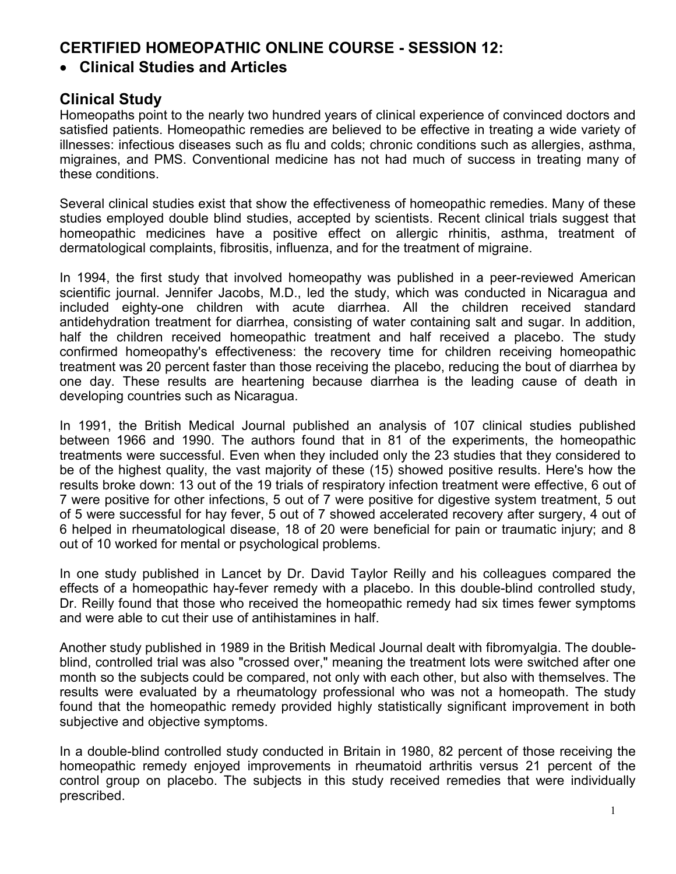## **CERTIFIED HOMEOPATHIC ONLINE COURSE - SESSION 12:**

## • **Clinical Studies and Articles**

## **Clinical Study**

Homeopaths point to the nearly two hundred years of clinical experience of convinced doctors and satisfied patients. Homeopathic remedies are believed to be effective in treating a wide variety of illnesses: infectious diseases such as flu and colds; chronic conditions such as allergies, asthma, migraines, and PMS. Conventional medicine has not had much of success in treating many of these conditions.

Several clinical studies exist that show the effectiveness of homeopathic remedies. Many of these studies employed double blind studies, accepted by scientists. Recent clinical trials suggest that homeopathic medicines have a positive effect on allergic rhinitis, asthma, treatment of dermatological complaints, fibrositis, influenza, and for the treatment of migraine.

In 1994, the first study that involved homeopathy was published in a peer-reviewed American scientific journal. Jennifer Jacobs, M.D., led the study, which was conducted in Nicaragua and included eighty-one children with acute diarrhea. All the children received standard antidehydration treatment for diarrhea, consisting of water containing salt and sugar. In addition, half the children received homeopathic treatment and half received a placebo. The study confirmed homeopathy's effectiveness: the recovery time for children receiving homeopathic treatment was 20 percent faster than those receiving the placebo, reducing the bout of diarrhea by one day. These results are heartening because diarrhea is the leading cause of death in developing countries such as Nicaragua.

In 1991, the British Medical Journal published an analysis of 107 clinical studies published between 1966 and 1990. The authors found that in 81 of the experiments, the homeopathic treatments were successful. Even when they included only the 23 studies that they considered to be of the highest quality, the vast majority of these (15) showed positive results. Here's how the results broke down: 13 out of the 19 trials of respiratory infection treatment were effective, 6 out of 7 were positive for other infections, 5 out of 7 were positive for digestive system treatment, 5 out of 5 were successful for hay fever, 5 out of 7 showed accelerated recovery after surgery, 4 out of 6 helped in rheumatological disease, 18 of 20 were beneficial for pain or traumatic injury; and 8 out of 10 worked for mental or psychological problems.

In one study published in Lancet by Dr. David Taylor Reilly and his colleagues compared the effects of a homeopathic hay-fever remedy with a placebo. In this double-blind controlled study, Dr. Reilly found that those who received the homeopathic remedy had six times fewer symptoms and were able to cut their use of antihistamines in half.

Another study published in 1989 in the British Medical Journal dealt with fibromyalgia. The doubleblind, controlled trial was also "crossed over," meaning the treatment lots were switched after one month so the subjects could be compared, not only with each other, but also with themselves. The results were evaluated by a rheumatology professional who was not a homeopath. The study found that the homeopathic remedy provided highly statistically significant improvement in both subjective and objective symptoms.

In a double-blind controlled study conducted in Britain in 1980, 82 percent of those receiving the homeopathic remedy enjoyed improvements in rheumatoid arthritis versus 21 percent of the control group on placebo. The subjects in this study received remedies that were individually prescribed.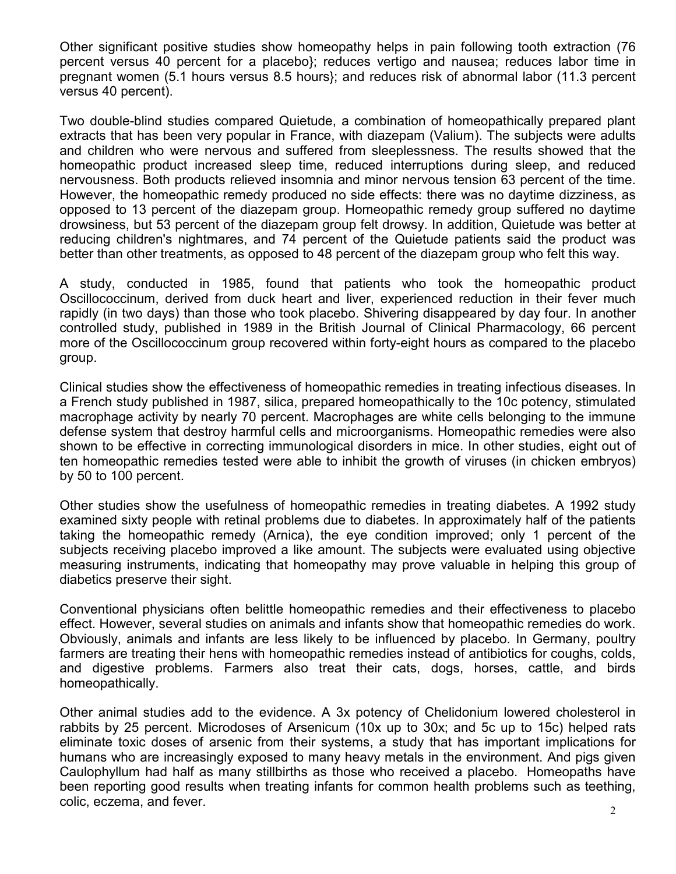Other significant positive studies show homeopathy helps in pain following tooth extraction (76 percent versus 40 percent for a placebo}; reduces vertigo and nausea; reduces labor time in pregnant women (5.1 hours versus 8.5 hours}; and reduces risk of abnormal labor (11.3 percent versus 40 percent).

Two double-blind studies compared Quietude, a combination of homeopathically prepared plant extracts that has been very popular in France, with diazepam (Valium). The subjects were adults and children who were nervous and suffered from sleeplessness. The results showed that the homeopathic product increased sleep time, reduced interruptions during sleep, and reduced nervousness. Both products relieved insomnia and minor nervous tension 63 percent of the time. However, the homeopathic remedy produced no side effects: there was no daytime dizziness, as opposed to 13 percent of the diazepam group. Homeopathic remedy group suffered no daytime drowsiness, but 53 percent of the diazepam group felt drowsy. In addition, Quietude was better at reducing children's nightmares, and 74 percent of the Quietude patients said the product was better than other treatments, as opposed to 48 percent of the diazepam group who felt this way.

A study, conducted in 1985, found that patients who took the homeopathic product Oscillococcinum, derived from duck heart and liver, experienced reduction in their fever much rapidly (in two days) than those who took placebo. Shivering disappeared by day four. In another controlled study, published in 1989 in the British Journal of Clinical Pharmacology, 66 percent more of the Oscillococcinum group recovered within forty-eight hours as compared to the placebo group.

Clinical studies show the effectiveness of homeopathic remedies in treating infectious diseases. In a French study published in 1987, silica, prepared homeopathically to the 10c potency, stimulated macrophage activity by nearly 70 percent. Macrophages are white cells belonging to the immune defense system that destroy harmful cells and microorganisms. Homeopathic remedies were also shown to be effective in correcting immunological disorders in mice. In other studies, eight out of ten homeopathic remedies tested were able to inhibit the growth of viruses (in chicken embryos) by 50 to 100 percent.

Other studies show the usefulness of homeopathic remedies in treating diabetes. A 1992 study examined sixty people with retinal problems due to diabetes. In approximately half of the patients taking the homeopathic remedy (Arnica), the eye condition improved; only 1 percent of the subjects receiving placebo improved a like amount. The subjects were evaluated using objective measuring instruments, indicating that homeopathy may prove valuable in helping this group of diabetics preserve their sight.

Conventional physicians often belittle homeopathic remedies and their effectiveness to placebo effect. However, several studies on animals and infants show that homeopathic remedies do work. Obviously, animals and infants are less likely to be influenced by placebo. In Germany, poultry farmers are treating their hens with homeopathic remedies instead of antibiotics for coughs, colds, and digestive problems. Farmers also treat their cats, dogs, horses, cattle, and birds homeopathically.

Other animal studies add to the evidence. A 3x potency of Chelidonium lowered cholesterol in rabbits by 25 percent. Microdoses of Arsenicum (10x up to 30x; and 5c up to 15c) helped rats eliminate toxic doses of arsenic from their systems, a study that has important implications for humans who are increasingly exposed to many heavy metals in the environment. And pigs given Caulophyllum had half as many stillbirths as those who received a placebo. Homeopaths have been reporting good results when treating infants for common health problems such as teething, colic, eczema, and fever.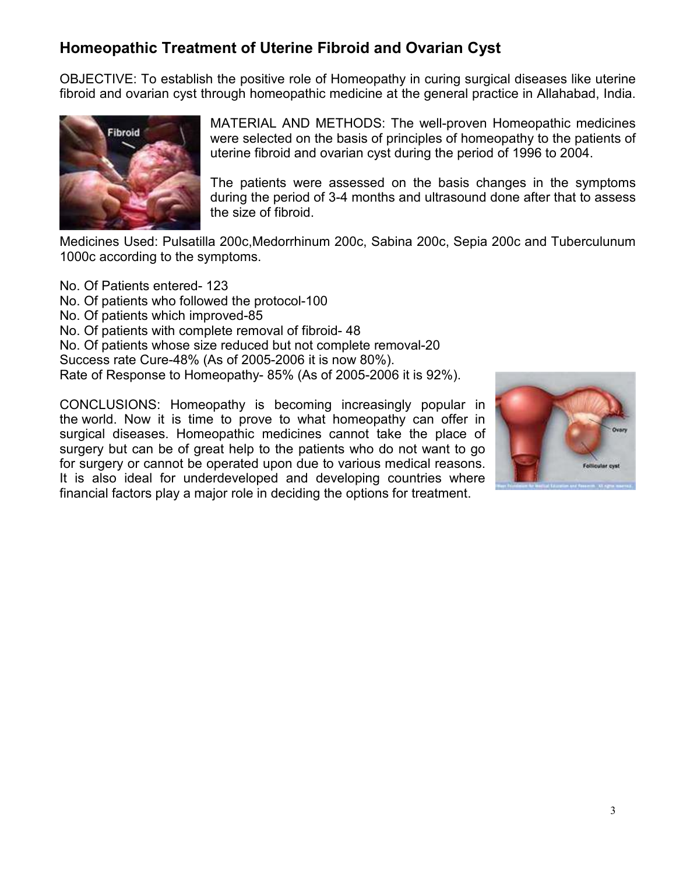# **Homeopathic Treatment of Uterine Fibroid and Ovarian Cyst**

OBJECTIVE: To establish the positive role of Homeopathy in curing surgical diseases like uterine fibroid and ovarian cyst through homeopathic medicine at the general practice in Allahabad, India.



MATERIAL AND METHODS: The well-proven Homeopathic medicines were selected on the basis of principles of homeopathy to the patients of uterine fibroid and ovarian cyst during the period of 1996 to 2004.

The patients were assessed on the basis changes in the symptoms during the period of 3-4 months and ultrasound done after that to assess the size of fibroid.

Medicines Used: Pulsatilla 200c,Medorrhinum 200c, Sabina 200c, Sepia 200c and Tuberculunum 1000c according to the symptoms.

No. Of Patients entered- 123 No. Of patients who followed the protocol-100 No. Of patients which improved-85 No. Of patients with complete removal of fibroid- 48 No. Of patients whose size reduced but not complete removal-20 Success rate Cure-48% (As of 2005-2006 it is now 80%). Rate of Response to Homeopathy- 85% (As of 2005-2006 it is 92%).

CONCLUSIONS: Homeopathy is becoming increasingly popular in the world. Now it is time to prove to what homeopathy can offer in surgical diseases. Homeopathic medicines cannot take the place of surgery but can be of great help to the patients who do not want to go for surgery or cannot be operated upon due to various medical reasons. It is also ideal for underdeveloped and developing countries where financial factors play a major role in deciding the options for treatment.

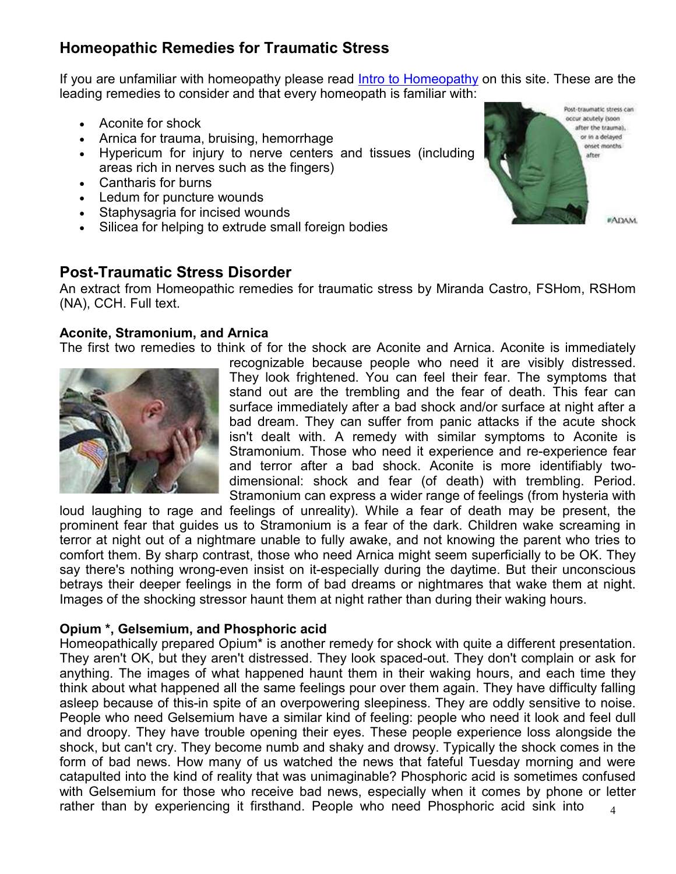# **Homeopathic Remedies for Traumatic Stress**

If you are unfamiliar with homeopathy please read **Intro to Homeopathy** on this site. These are the leading remedies to consider and that every homeopath is familiar with:

- Aconite for shock
- Arnica for trauma, bruising, hemorrhage
- Hypericum for injury to nerve centers and tissues (including areas rich in nerves such as the fingers)
- Cantharis for burns
- Ledum for puncture wounds
- Staphysagria for incised wounds
- Silicea for helping to extrude small foreign bodies

## **Post-Traumatic Stress Disorder**

An extract from Homeopathic remedies for traumatic stress by Miranda Castro, FSHom, RSHom (NA), CCH. Full text.

### **Aconite, Stramonium, and Arnica**

The first two remedies to think of for the shock are Aconite and Arnica. Aconite is immediately



recognizable because people who need it are visibly distressed. They look frightened. You can feel their fear. The symptoms that stand out are the trembling and the fear of death. This fear can surface immediately after a bad shock and/or surface at night after a bad dream. They can suffer from panic attacks if the acute shock isn't dealt with. A remedy with similar symptoms to Aconite is Stramonium. Those who need it experience and re-experience fear and terror after a bad shock. Aconite is more identifiably twodimensional: shock and fear (of death) with trembling. Period. Stramonium can express a wider range of feelings (from hysteria with

loud laughing to rage and feelings of unreality). While a fear of death may be present, the prominent fear that guides us to Stramonium is a fear of the dark. Children wake screaming in terror at night out of a nightmare unable to fully awake, and not knowing the parent who tries to comfort them. By sharp contrast, those who need Arnica might seem superficially to be OK. They say there's nothing wrong-even insist on it-especially during the daytime. But their unconscious betrays their deeper feelings in the form of bad dreams or nightmares that wake them at night. Images of the shocking stressor haunt them at night rather than during their waking hours.

## **Opium \*, Gelsemium, and Phosphoric acid**

4 Homeopathically prepared Opium\* is another remedy for shock with quite a different presentation. They aren't OK, but they aren't distressed. They look spaced-out. They don't complain or ask for anything. The images of what happened haunt them in their waking hours, and each time they think about what happened all the same feelings pour over them again. They have difficulty falling asleep because of this-in spite of an overpowering sleepiness. They are oddly sensitive to noise. People who need Gelsemium have a similar kind of feeling: people who need it look and feel dull and droopy. They have trouble opening their eyes. These people experience loss alongside the shock, but can't cry. They become numb and shaky and drowsy. Typically the shock comes in the form of bad news. How many of us watched the news that fateful Tuesday morning and were catapulted into the kind of reality that was unimaginable? Phosphoric acid is sometimes confused with Gelsemium for those who receive bad news, especially when it comes by phone or letter rather than by experiencing it firsthand. People who need Phosphoric acid sink into

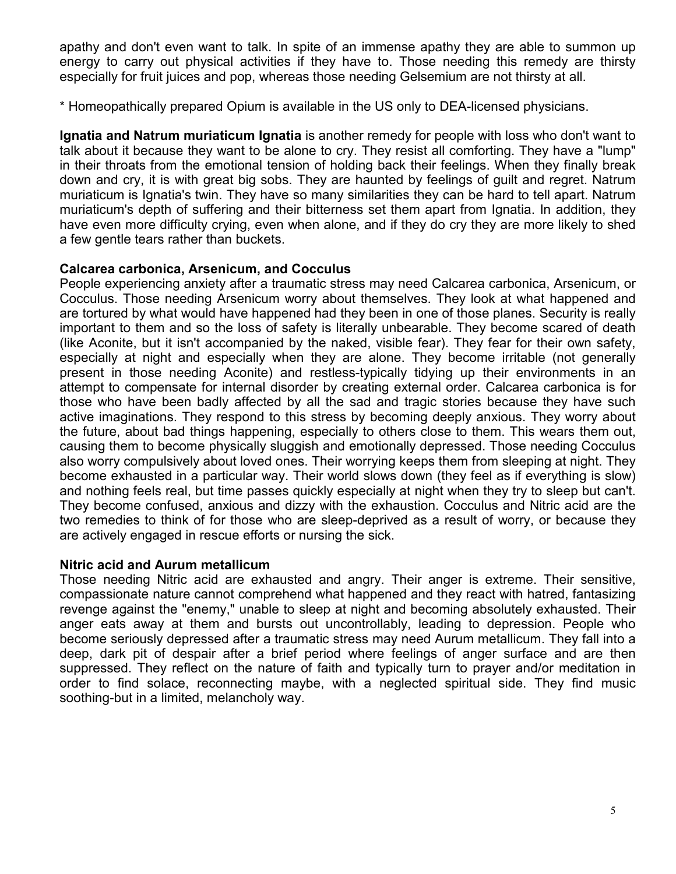apathy and don't even want to talk. In spite of an immense apathy they are able to summon up energy to carry out physical activities if they have to. Those needing this remedy are thirsty especially for fruit juices and pop, whereas those needing Gelsemium are not thirsty at all.

\* Homeopathically prepared Opium is available in the US only to DEA-licensed physicians.

**Ignatia and Natrum muriaticum Ignatia** is another remedy for people with loss who don't want to talk about it because they want to be alone to cry. They resist all comforting. They have a "lump" in their throats from the emotional tension of holding back their feelings. When they finally break down and cry, it is with great big sobs. They are haunted by feelings of guilt and regret. Natrum muriaticum is Ignatia's twin. They have so many similarities they can be hard to tell apart. Natrum muriaticum's depth of suffering and their bitterness set them apart from Ignatia. In addition, they have even more difficulty crying, even when alone, and if they do cry they are more likely to shed a few gentle tears rather than buckets.

### **Calcarea carbonica, Arsenicum, and Cocculus**

People experiencing anxiety after a traumatic stress may need Calcarea carbonica, Arsenicum, or Cocculus. Those needing Arsenicum worry about themselves. They look at what happened and are tortured by what would have happened had they been in one of those planes. Security is really important to them and so the loss of safety is literally unbearable. They become scared of death (like Aconite, but it isn't accompanied by the naked, visible fear). They fear for their own safety, especially at night and especially when they are alone. They become irritable (not generally present in those needing Aconite) and restless-typically tidying up their environments in an attempt to compensate for internal disorder by creating external order. Calcarea carbonica is for those who have been badly affected by all the sad and tragic stories because they have such active imaginations. They respond to this stress by becoming deeply anxious. They worry about the future, about bad things happening, especially to others close to them. This wears them out, causing them to become physically sluggish and emotionally depressed. Those needing Cocculus also worry compulsively about loved ones. Their worrying keeps them from sleeping at night. They become exhausted in a particular way. Their world slows down (they feel as if everything is slow) and nothing feels real, but time passes quickly especially at night when they try to sleep but can't. They become confused, anxious and dizzy with the exhaustion. Cocculus and Nitric acid are the two remedies to think of for those who are sleep-deprived as a result of worry, or because they are actively engaged in rescue efforts or nursing the sick.

#### **Nitric acid and Aurum metallicum**

Those needing Nitric acid are exhausted and angry. Their anger is extreme. Their sensitive, compassionate nature cannot comprehend what happened and they react with hatred, fantasizing revenge against the "enemy," unable to sleep at night and becoming absolutely exhausted. Their anger eats away at them and bursts out uncontrollably, leading to depression. People who become seriously depressed after a traumatic stress may need Aurum metallicum. They fall into a deep, dark pit of despair after a brief period where feelings of anger surface and are then suppressed. They reflect on the nature of faith and typically turn to prayer and/or meditation in order to find solace, reconnecting maybe, with a neglected spiritual side. They find music soothing-but in a limited, melancholy way.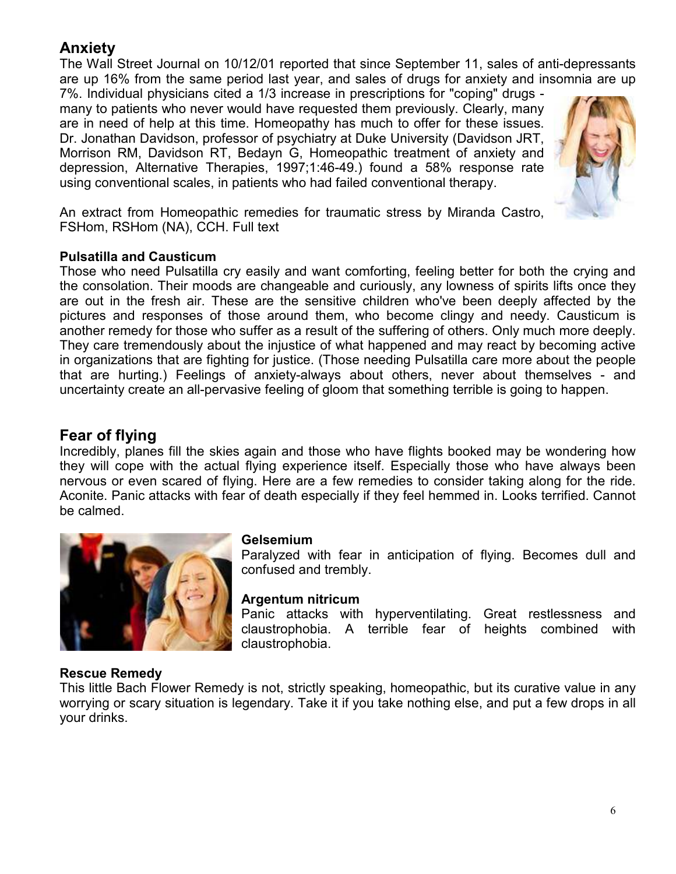## **Anxiety**

The Wall Street Journal on 10/12/01 reported that since September 11, sales of anti-depressants are up 16% from the same period last year, and sales of drugs for anxiety and insomnia are up

7%. Individual physicians cited a 1/3 increase in prescriptions for "coping" drugs many to patients who never would have requested them previously. Clearly, many are in need of help at this time. Homeopathy has much to offer for these issues. Dr. Jonathan Davidson, professor of psychiatry at Duke University (Davidson JRT, Morrison RM, Davidson RT, Bedayn G, Homeopathic treatment of anxiety and depression, Alternative Therapies, 1997;1:46-49.) found a 58% response rate using conventional scales, in patients who had failed conventional therapy.



An extract from Homeopathic remedies for traumatic stress by Miranda Castro, FSHom, RSHom (NA), CCH. Full text

### **Pulsatilla and Causticum**

Those who need Pulsatilla cry easily and want comforting, feeling better for both the crying and the consolation. Their moods are changeable and curiously, any lowness of spirits lifts once they are out in the fresh air. These are the sensitive children who've been deeply affected by the pictures and responses of those around them, who become clingy and needy. Causticum is another remedy for those who suffer as a result of the suffering of others. Only much more deeply. They care tremendously about the injustice of what happened and may react by becoming active in organizations that are fighting for justice. (Those needing Pulsatilla care more about the people that are hurting.) Feelings of anxiety-always about others, never about themselves - and uncertainty create an all-pervasive feeling of gloom that something terrible is going to happen.

## **Fear of flying**

Incredibly, planes fill the skies again and those who have flights booked may be wondering how they will cope with the actual flying experience itself. Especially those who have always been nervous or even scared of flying. Here are a few remedies to consider taking along for the ride. Aconite. Panic attacks with fear of death especially if they feel hemmed in. Looks terrified. Cannot be calmed.



#### **Gelsemium**

Paralyzed with fear in anticipation of flying. Becomes dull and confused and trembly.

## **Argentum nitricum**

Panic attacks with hyperventilating. Great restlessness and claustrophobia. A terrible fear of heights combined with claustrophobia.

## **Rescue Remedy**

This little Bach Flower Remedy is not, strictly speaking, homeopathic, but its curative value in any worrying or scary situation is legendary. Take it if you take nothing else, and put a few drops in all your drinks.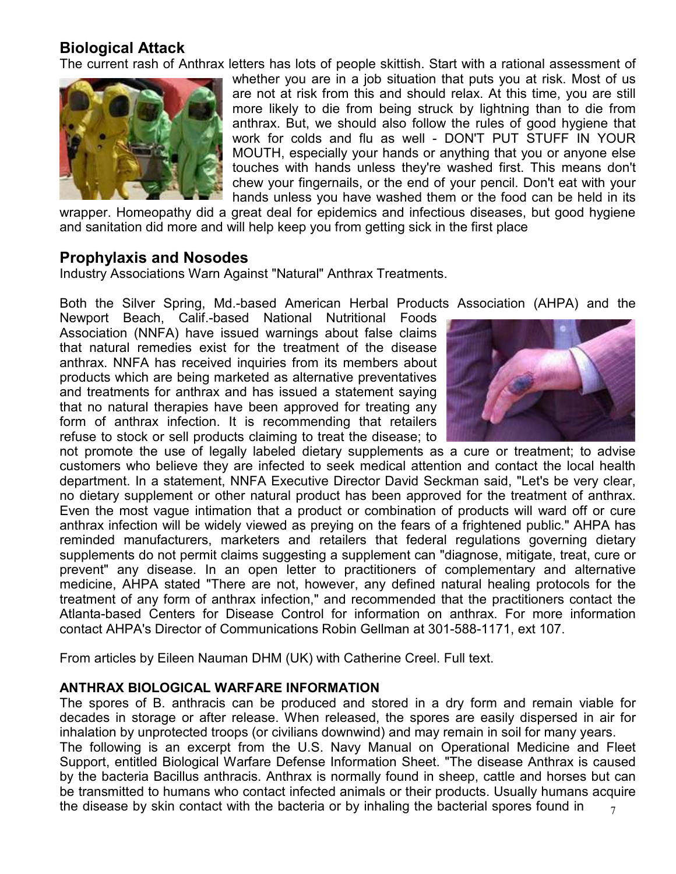## **Biological Attack**

The current rash of Anthrax letters has lots of people skittish. Start with a rational assessment of



whether you are in a job situation that puts you at risk. Most of us are not at risk from this and should relax. At this time, you are still more likely to die from being struck by lightning than to die from anthrax. But, we should also follow the rules of good hygiene that work for colds and flu as well - DON'T PUT STUFF IN YOUR MOUTH, especially your hands or anything that you or anyone else touches with hands unless they're washed first. This means don't chew your fingernails, or the end of your pencil. Don't eat with your hands unless you have washed them or the food can be held in its

wrapper. Homeopathy did a great deal for epidemics and infectious diseases, but good hygiene and sanitation did more and will help keep you from getting sick in the first place

#### **Prophylaxis and Nosodes**

Industry Associations Warn Against "Natural" Anthrax Treatments.

Both the Silver Spring, Md.-based American Herbal Products Association (AHPA) and the

Newport Beach, Calif.-based National Nutritional Foods Association (NNFA) have issued warnings about false claims that natural remedies exist for the treatment of the disease anthrax. NNFA has received inquiries from its members about products which are being marketed as alternative preventatives and treatments for anthrax and has issued a statement saying that no natural therapies have been approved for treating any form of anthrax infection. It is recommending that retailers refuse to stock or sell products claiming to treat the disease; to



not promote the use of legally labeled dietary supplements as a cure or treatment; to advise customers who believe they are infected to seek medical attention and contact the local health department. In a statement, NNFA Executive Director David Seckman said, "Let's be very clear, no dietary supplement or other natural product has been approved for the treatment of anthrax. Even the most vague intimation that a product or combination of products will ward off or cure anthrax infection will be widely viewed as preying on the fears of a frightened public." AHPA has reminded manufacturers, marketers and retailers that federal regulations governing dietary supplements do not permit claims suggesting a supplement can "diagnose, mitigate, treat, cure or prevent" any disease. In an open letter to practitioners of complementary and alternative medicine, AHPA stated "There are not, however, any defined natural healing protocols for the treatment of any form of anthrax infection," and recommended that the practitioners contact the Atlanta-based Centers for Disease Control for information on anthrax. For more information contact AHPA's Director of Communications Robin Gellman at 301-588-1171, ext 107.

From articles by Eileen Nauman DHM (UK) with Catherine Creel. Full text.

#### **ANTHRAX BIOLOGICAL WARFARE INFORMATION**

7 The spores of B. anthracis can be produced and stored in a dry form and remain viable for decades in storage or after release. When released, the spores are easily dispersed in air for inhalation by unprotected troops (or civilians downwind) and may remain in soil for many years. The following is an excerpt from the U.S. Navy Manual on Operational Medicine and Fleet Support, entitled Biological Warfare Defense Information Sheet. "The disease Anthrax is caused by the bacteria Bacillus anthracis. Anthrax is normally found in sheep, cattle and horses but can be transmitted to humans who contact infected animals or their products. Usually humans acquire the disease by skin contact with the bacteria or by inhaling the bacterial spores found in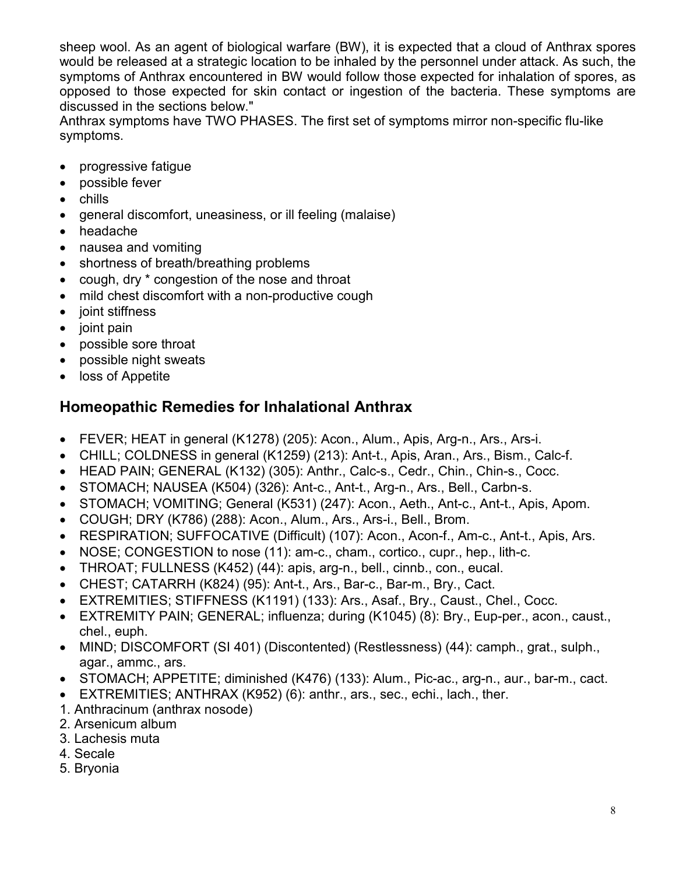sheep wool. As an agent of biological warfare (BW), it is expected that a cloud of Anthrax spores would be released at a strategic location to be inhaled by the personnel under attack. As such, the symptoms of Anthrax encountered in BW would follow those expected for inhalation of spores, as opposed to those expected for skin contact or ingestion of the bacteria. These symptoms are discussed in the sections below."

Anthrax symptoms have TWO PHASES. The first set of symptoms mirror non-specific flu-like symptoms.

- progressive fatigue
- possible fever
- chills
- general discomfort, uneasiness, or ill feeling (malaise)
- headache
- nausea and vomiting
- shortness of breath/breathing problems
- cough, dry \* congestion of the nose and throat
- mild chest discomfort with a non-productive cough
- joint stiffness
- joint pain
- possible sore throat
- possible night sweats
- loss of Appetite

# **Homeopathic Remedies for Inhalational Anthrax**

- FEVER; HEAT in general (K1278) (205): Acon., Alum., Apis, Arg-n., Ars., Ars-i.
- CHILL; COLDNESS in general (K1259) (213): Ant-t., Apis, Aran., Ars., Bism., Calc-f.
- HEAD PAIN; GENERAL (K132) (305): Anthr., Calc-s., Cedr., Chin., Chin-s., Cocc.
- STOMACH; NAUSEA (K504) (326): Ant-c., Ant-t., Arg-n., Ars., Bell., Carbn-s.
- STOMACH; VOMITING; General (K531) (247): Acon., Aeth., Ant-c., Ant-t., Apis, Apom.
- COUGH; DRY (K786) (288): Acon., Alum., Ars., Ars-i., Bell., Brom.
- RESPIRATION; SUFFOCATIVE (Difficult) (107): Acon., Acon-f., Am-c., Ant-t., Apis, Ars.
- NOSE; CONGESTION to nose (11): am-c., cham., cortico., cupr., hep., lith-c.
- THROAT; FULLNESS (K452) (44): apis, arg-n., bell., cinnb., con., eucal.
- CHEST; CATARRH (K824) (95): Ant-t., Ars., Bar-c., Bar-m., Bry., Cact.
- EXTREMITIES; STIFFNESS (K1191) (133): Ars., Asaf., Bry., Caust., Chel., Cocc.
- EXTREMITY PAIN; GENERAL; influenza; during (K1045) (8): Bry., Eup-per., acon., caust., chel., euph.
- MIND; DISCOMFORT (SI 401) (Discontented) (Restlessness) (44): camph., grat., sulph., agar., ammc., ars.
- STOMACH; APPETITE; diminished (K476) (133): Alum., Pic-ac., arg-n., aur., bar-m., cact.
- EXTREMITIES; ANTHRAX (K952) (6): anthr., ars., sec., echi., lach., ther.
- 1. Anthracinum (anthrax nosode)
- 2. Arsenicum album
- 3. Lachesis muta
- 4. Secale
- 5. Bryonia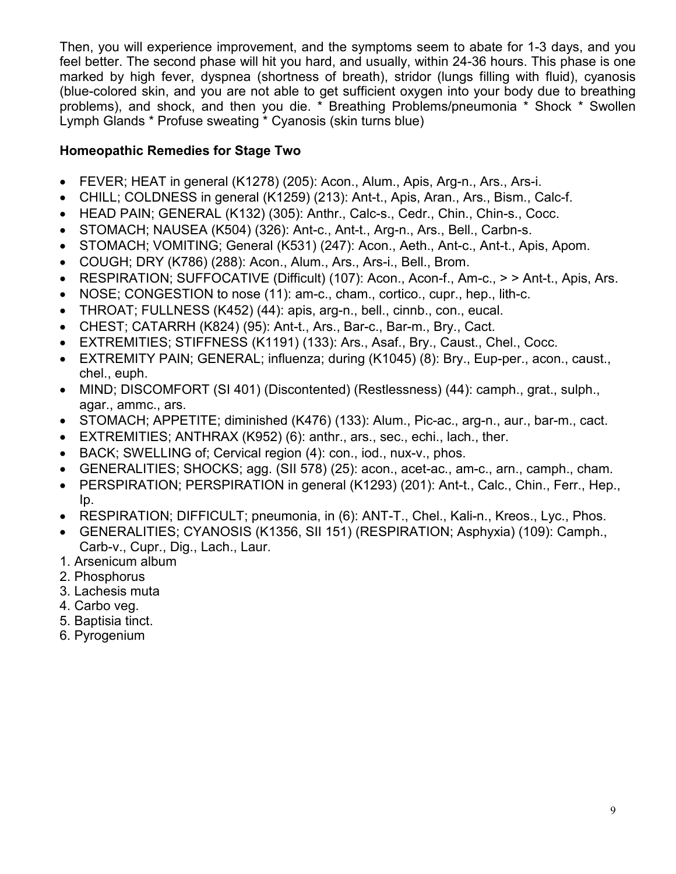Then, you will experience improvement, and the symptoms seem to abate for 1-3 days, and you feel better. The second phase will hit you hard, and usually, within 24-36 hours. This phase is one marked by high fever, dyspnea (shortness of breath), stridor (lungs filling with fluid), cyanosis (blue-colored skin, and you are not able to get sufficient oxygen into your body due to breathing problems), and shock, and then you die. \* Breathing Problems/pneumonia \* Shock \* Swollen Lymph Glands \* Profuse sweating \* Cyanosis (skin turns blue)

## **Homeopathic Remedies for Stage Two**

- FEVER; HEAT in general (K1278) (205): Acon., Alum., Apis, Arg-n., Ars., Ars-i.
- CHILL; COLDNESS in general (K1259) (213): Ant-t., Apis, Aran., Ars., Bism., Calc-f.
- HEAD PAIN; GENERAL (K132) (305): Anthr., Calc-s., Cedr., Chin., Chin-s., Cocc.
- STOMACH; NAUSEA (K504) (326): Ant-c., Ant-t., Arg-n., Ars., Bell., Carbn-s.
- STOMACH; VOMITING; General (K531) (247): Acon., Aeth., Ant-c., Ant-t., Apis, Apom.
- COUGH; DRY (K786) (288): Acon., Alum., Ars., Ars-i., Bell., Brom.
- RESPIRATION; SUFFOCATIVE (Difficult) (107): Acon., Acon-f., Am-c., > > Ant-t., Apis, Ars.
- NOSE; CONGESTION to nose (11): am-c., cham., cortico., cupr., hep., lith-c.
- THROAT; FULLNESS (K452) (44): apis, arg-n., bell., cinnb., con., eucal.
- CHEST; CATARRH (K824) (95): Ant-t., Ars., Bar-c., Bar-m., Bry., Cact.
- EXTREMITIES; STIFFNESS (K1191) (133): Ars., Asaf., Bry., Caust., Chel., Cocc.
- EXTREMITY PAIN; GENERAL; influenza; during (K1045) (8): Bry., Eup-per., acon., caust., chel., euph.
- MIND; DISCOMFORT (SI 401) (Discontented) (Restlessness) (44): camph., grat., sulph., agar., ammc., ars.
- STOMACH; APPETITE; diminished (K476) (133): Alum., Pic-ac., arg-n., aur., bar-m., cact.
- EXTREMITIES; ANTHRAX (K952) (6): anthr., ars., sec., echi., lach., ther.
- BACK; SWELLING of; Cervical region (4): con., iod., nux-v., phos.
- GENERALITIES; SHOCKS; agg. (SII 578) (25): acon., acet-ac., am-c., arn., camph., cham.
- PERSPIRATION; PERSPIRATION in general (K1293) (201): Ant-t., Calc., Chin., Ferr., Hep., Ip.
- RESPIRATION; DIFFICULT; pneumonia, in (6): ANT-T., Chel., Kali-n., Kreos., Lyc., Phos.
- GENERALITIES; CYANOSIS (K1356, SII 151) (RESPIRATION; Asphyxia) (109): Camph., Carb-v., Cupr., Dig., Lach., Laur.
- 1. Arsenicum album
- 2. Phosphorus
- 3. Lachesis muta
- 4. Carbo veg.
- 5. Baptisia tinct.
- 6. Pyrogenium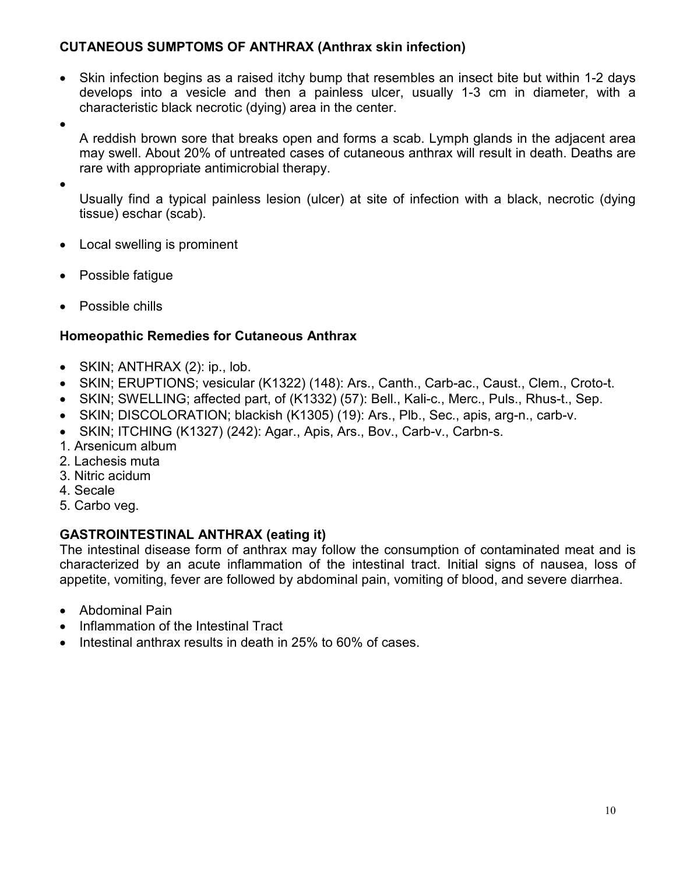## **CUTANEOUS SUMPTOMS OF ANTHRAX (Anthrax skin infection)**

- Skin infection begins as a raised itchy bump that resembles an insect bite but within 1-2 days develops into a vesicle and then a painless ulcer, usually 1-3 cm in diameter, with a characteristic black necrotic (dying) area in the center.
- •

A reddish brown sore that breaks open and forms a scab. Lymph glands in the adjacent area may swell. About 20% of untreated cases of cutaneous anthrax will result in death. Deaths are rare with appropriate antimicrobial therapy.

•

Usually find a typical painless lesion (ulcer) at site of infection with a black, necrotic (dying tissue) eschar (scab).

- Local swelling is prominent
- Possible fatigue
- Possible chills

## **Homeopathic Remedies for Cutaneous Anthrax**

- SKIN; ANTHRAX (2): ip., lob.
- SKIN; ERUPTIONS; vesicular (K1322) (148): Ars., Canth., Carb-ac., Caust., Clem., Croto-t.
- SKIN; SWELLING; affected part, of (K1332) (57): Bell., Kali-c., Merc., Puls., Rhus-t., Sep.
- SKIN; DISCOLORATION; blackish (K1305) (19): Ars., Plb., Sec., apis, arg-n., carb-v.
- SKIN; ITCHING (K1327) (242): Agar., Apis, Ars., Bov., Carb-v., Carbn-s.
- 1. Arsenicum album
- 2. Lachesis muta
- 3. Nitric acidum
- 4. Secale
- 5. Carbo veg.

## **GASTROINTESTINAL ANTHRAX (eating it)**

The intestinal disease form of anthrax may follow the consumption of contaminated meat and is characterized by an acute inflammation of the intestinal tract. Initial signs of nausea, loss of appetite, vomiting, fever are followed by abdominal pain, vomiting of blood, and severe diarrhea.

- Abdominal Pain
- Inflammation of the Intestinal Tract
- Intestinal anthrax results in death in 25% to 60% of cases.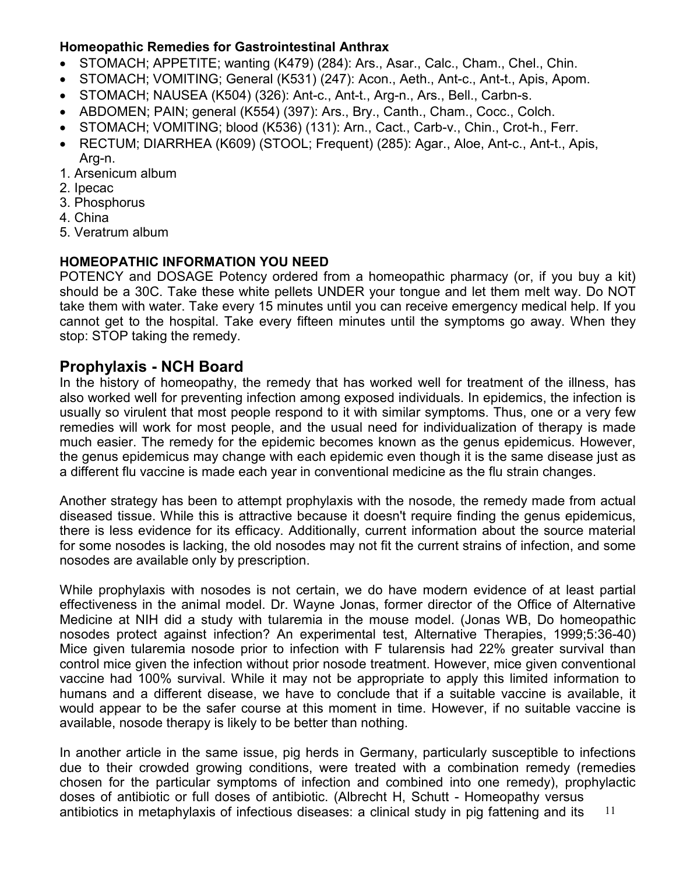### **Homeopathic Remedies for Gastrointestinal Anthrax**

- STOMACH; APPETITE; wanting (K479) (284): Ars., Asar., Calc., Cham., Chel., Chin.
- STOMACH; VOMITING; General (K531) (247): Acon., Aeth., Ant-c., Ant-t., Apis, Apom.
- STOMACH; NAUSEA (K504) (326): Ant-c., Ant-t., Arg-n., Ars., Bell., Carbn-s.
- ABDOMEN; PAIN; general (K554) (397): Ars., Bry., Canth., Cham., Cocc., Colch.
- STOMACH; VOMITING; blood (K536) (131): Arn., Cact., Carb-v., Chin., Crot-h., Ferr.
- RECTUM; DIARRHEA (K609) (STOOL; Frequent) (285): Agar., Aloe, Ant-c., Ant-t., Apis, Arg-n.
- 1. Arsenicum album
- 2. Ipecac
- 3. Phosphorus
- 4. China
- 5. Veratrum album

## **HOMEOPATHIC INFORMATION YOU NEED**

POTENCY and DOSAGE Potency ordered from a homeopathic pharmacy (or, if you buy a kit) should be a 30C. Take these white pellets UNDER your tongue and let them melt way. Do NOT take them with water. Take every 15 minutes until you can receive emergency medical help. If you cannot get to the hospital. Take every fifteen minutes until the symptoms go away. When they stop: STOP taking the remedy.

## **Prophylaxis - NCH Board**

In the history of homeopathy, the remedy that has worked well for treatment of the illness, has also worked well for preventing infection among exposed individuals. In epidemics, the infection is usually so virulent that most people respond to it with similar symptoms. Thus, one or a very few remedies will work for most people, and the usual need for individualization of therapy is made much easier. The remedy for the epidemic becomes known as the genus epidemicus. However, the genus epidemicus may change with each epidemic even though it is the same disease just as a different flu vaccine is made each year in conventional medicine as the flu strain changes.

Another strategy has been to attempt prophylaxis with the nosode, the remedy made from actual diseased tissue. While this is attractive because it doesn't require finding the genus epidemicus, there is less evidence for its efficacy. Additionally, current information about the source material for some nosodes is lacking, the old nosodes may not fit the current strains of infection, and some nosodes are available only by prescription.

While prophylaxis with nosodes is not certain, we do have modern evidence of at least partial effectiveness in the animal model. Dr. Wayne Jonas, former director of the Office of Alternative Medicine at NIH did a study with tularemia in the mouse model. (Jonas WB, Do homeopathic nosodes protect against infection? An experimental test, Alternative Therapies, 1999;5:36-40) Mice given tularemia nosode prior to infection with F tularensis had 22% greater survival than control mice given the infection without prior nosode treatment. However, mice given conventional vaccine had 100% survival. While it may not be appropriate to apply this limited information to humans and a different disease, we have to conclude that if a suitable vaccine is available, it would appear to be the safer course at this moment in time. However, if no suitable vaccine is available, nosode therapy is likely to be better than nothing.

11 In another article in the same issue, pig herds in Germany, particularly susceptible to infections due to their crowded growing conditions, were treated with a combination remedy (remedies chosen for the particular symptoms of infection and combined into one remedy), prophylactic doses of antibiotic or full doses of antibiotic. (Albrecht H, Schutt - Homeopathy versus antibiotics in metaphylaxis of infectious diseases: a clinical study in pig fattening and its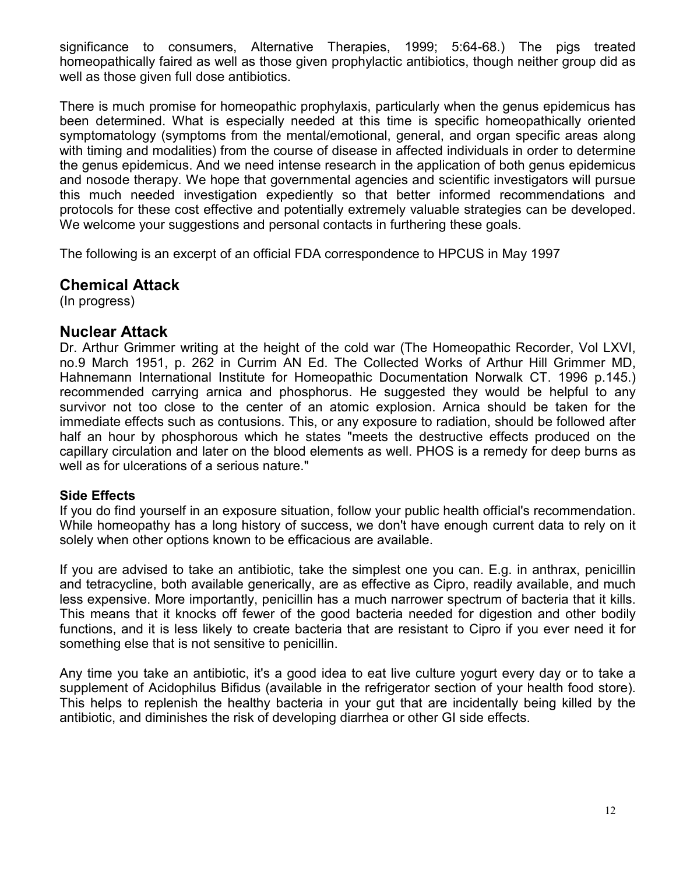significance to consumers, Alternative Therapies, 1999; 5:64-68.) The pigs treated homeopathically faired as well as those given prophylactic antibiotics, though neither group did as well as those given full dose antibiotics.

There is much promise for homeopathic prophylaxis, particularly when the genus epidemicus has been determined. What is especially needed at this time is specific homeopathically oriented symptomatology (symptoms from the mental/emotional, general, and organ specific areas along with timing and modalities) from the course of disease in affected individuals in order to determine the genus epidemicus. And we need intense research in the application of both genus epidemicus and nosode therapy. We hope that governmental agencies and scientific investigators will pursue this much needed investigation expediently so that better informed recommendations and protocols for these cost effective and potentially extremely valuable strategies can be developed. We welcome your suggestions and personal contacts in furthering these goals.

The following is an excerpt of an official FDA correspondence to HPCUS in May 1997

## **Chemical Attack**

(In progress)

### **Nuclear Attack**

Dr. Arthur Grimmer writing at the height of the cold war (The Homeopathic Recorder, Vol LXVI, no.9 March 1951, p. 262 in Currim AN Ed. The Collected Works of Arthur Hill Grimmer MD, Hahnemann International Institute for Homeopathic Documentation Norwalk CT. 1996 p.145.) recommended carrying arnica and phosphorus. He suggested they would be helpful to any survivor not too close to the center of an atomic explosion. Arnica should be taken for the immediate effects such as contusions. This, or any exposure to radiation, should be followed after half an hour by phosphorous which he states "meets the destructive effects produced on the capillary circulation and later on the blood elements as well. PHOS is a remedy for deep burns as well as for ulcerations of a serious nature."

#### **Side Effects**

If you do find yourself in an exposure situation, follow your public health official's recommendation. While homeopathy has a long history of success, we don't have enough current data to rely on it solely when other options known to be efficacious are available.

If you are advised to take an antibiotic, take the simplest one you can. E.g. in anthrax, penicillin and tetracycline, both available generically, are as effective as Cipro, readily available, and much less expensive. More importantly, penicillin has a much narrower spectrum of bacteria that it kills. This means that it knocks off fewer of the good bacteria needed for digestion and other bodily functions, and it is less likely to create bacteria that are resistant to Cipro if you ever need it for something else that is not sensitive to penicillin.

Any time you take an antibiotic, it's a good idea to eat live culture yogurt every day or to take a supplement of Acidophilus Bifidus (available in the refrigerator section of your health food store). This helps to replenish the healthy bacteria in your gut that are incidentally being killed by the antibiotic, and diminishes the risk of developing diarrhea or other GI side effects.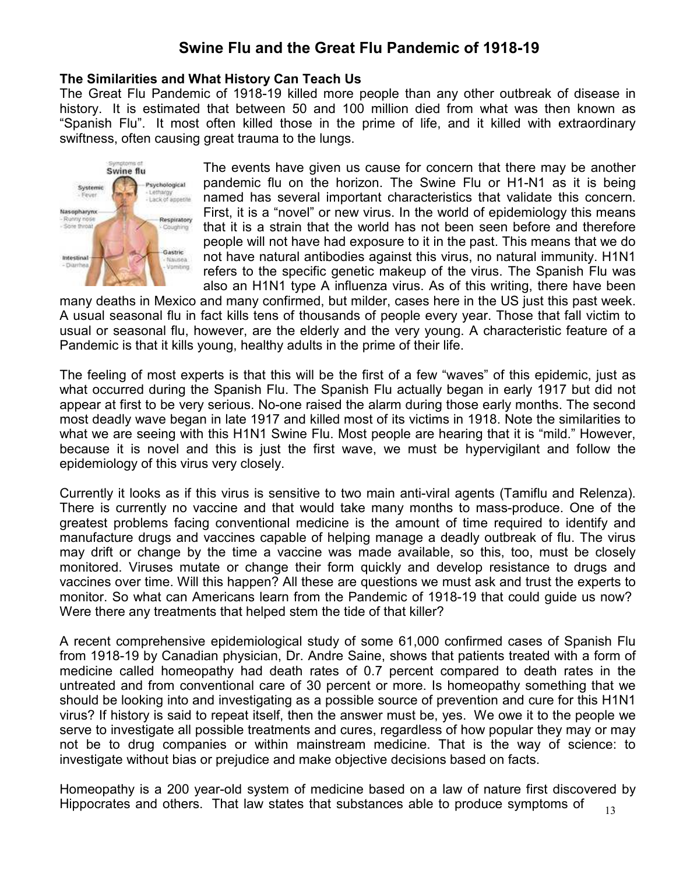# **Swine Flu and the Great Flu Pandemic of 1918-19**

#### **The Similarities and What History Can Teach Us**

The Great Flu Pandemic of 1918-19 killed more people than any other outbreak of disease in history. It is estimated that between 50 and 100 million died from what was then known as "Spanish Flu". It most often killed those in the prime of life, and it killed with extraordinary swiftness, often causing great trauma to the lungs.



The events have given us cause for concern that there may be another pandemic flu on the horizon. The Swine Flu or H1-N1 as it is being named has several important characteristics that validate this concern. First, it is a "novel" or new virus. In the world of epidemiology this means that it is a strain that the world has not been seen before and therefore people will not have had exposure to it in the past. This means that we do not have natural antibodies against this virus, no natural immunity. H1N1 refers to the specific genetic makeup of the virus. The Spanish Flu was also an H1N1 type A influenza virus. As of this writing, there have been

many deaths in Mexico and many confirmed, but milder, cases here in the US just this past week. A usual seasonal flu in fact kills tens of thousands of people every year. Those that fall victim to usual or seasonal flu, however, are the elderly and the very young. A characteristic feature of a Pandemic is that it kills young, healthy adults in the prime of their life.

The feeling of most experts is that this will be the first of a few "waves" of this epidemic, just as what occurred during the Spanish Flu. The Spanish Flu actually began in early 1917 but did not appear at first to be very serious. No-one raised the alarm during those early months. The second most deadly wave began in late 1917 and killed most of its victims in 1918. Note the similarities to what we are seeing with this H1N1 Swine Flu. Most people are hearing that it is "mild." However, because it is novel and this is just the first wave, we must be hypervigilant and follow the epidemiology of this virus very closely.

Currently it looks as if this virus is sensitive to two main anti-viral agents (Tamiflu and Relenza). There is currently no vaccine and that would take many months to mass-produce. One of the greatest problems facing conventional medicine is the amount of time required to identify and manufacture drugs and vaccines capable of helping manage a deadly outbreak of flu. The virus may drift or change by the time a vaccine was made available, so this, too, must be closely monitored. Viruses mutate or change their form quickly and develop resistance to drugs and vaccines over time. Will this happen? All these are questions we must ask and trust the experts to monitor. So what can Americans learn from the Pandemic of 1918-19 that could guide us now? Were there any treatments that helped stem the tide of that killer?

A recent comprehensive epidemiological study of some 61,000 confirmed cases of Spanish Flu from 1918-19 by Canadian physician, Dr. Andre Saine, shows that patients treated with a form of medicine called homeopathy had death rates of 0.7 percent compared to death rates in the untreated and from conventional care of 30 percent or more. Is homeopathy something that we should be looking into and investigating as a possible source of prevention and cure for this H1N1 virus? If history is said to repeat itself, then the answer must be, yes. We owe it to the people we serve to investigate all possible treatments and cures, regardless of how popular they may or may not be to drug companies or within mainstream medicine. That is the way of science: to investigate without bias or prejudice and make objective decisions based on facts.

13 Homeopathy is a 200 year-old system of medicine based on a law of nature first discovered by Hippocrates and others. That law states that substances able to produce symptoms of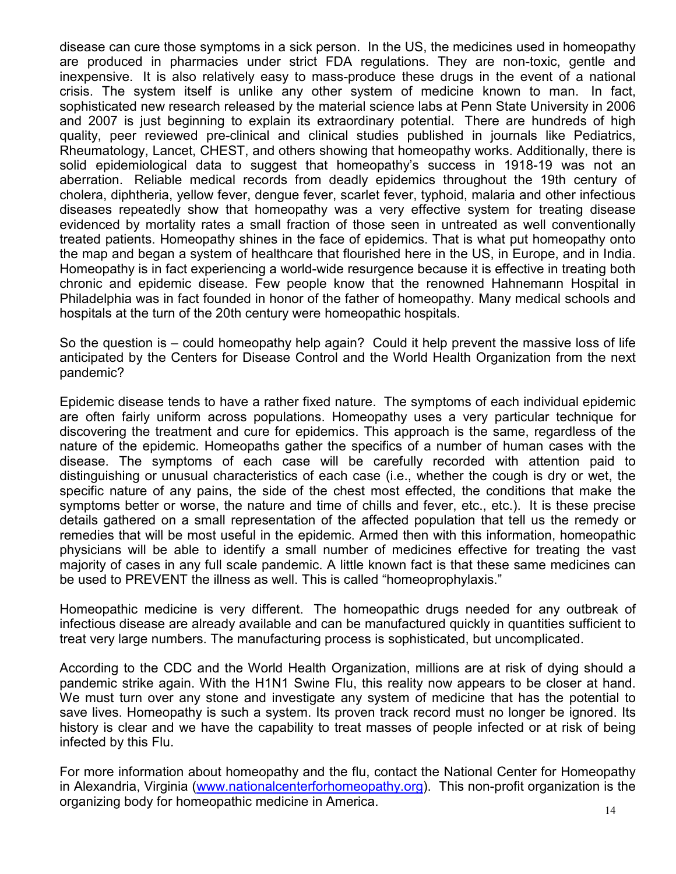disease can cure those symptoms in a sick person. In the US, the medicines used in homeopathy are produced in pharmacies under strict FDA regulations. They are non-toxic, gentle and inexpensive. It is also relatively easy to mass-produce these drugs in the event of a national crisis. The system itself is unlike any other system of medicine known to man. In fact, sophisticated new research released by the material science labs at Penn State University in 2006 and 2007 is just beginning to explain its extraordinary potential. There are hundreds of high quality, peer reviewed pre-clinical and clinical studies published in journals like Pediatrics, Rheumatology, Lancet, CHEST, and others showing that homeopathy works. Additionally, there is solid epidemiological data to suggest that homeopathy's success in 1918-19 was not an aberration. Reliable medical records from deadly epidemics throughout the 19th century of cholera, diphtheria, yellow fever, dengue fever, scarlet fever, typhoid, malaria and other infectious diseases repeatedly show that homeopathy was a very effective system for treating disease evidenced by mortality rates a small fraction of those seen in untreated as well conventionally treated patients. Homeopathy shines in the face of epidemics. That is what put homeopathy onto the map and began a system of healthcare that flourished here in the US, in Europe, and in India. Homeopathy is in fact experiencing a world-wide resurgence because it is effective in treating both chronic and epidemic disease. Few people know that the renowned Hahnemann Hospital in Philadelphia was in fact founded in honor of the father of homeopathy. Many medical schools and hospitals at the turn of the 20th century were homeopathic hospitals.

So the question is – could homeopathy help again? Could it help prevent the massive loss of life anticipated by the Centers for Disease Control and the World Health Organization from the next pandemic?

Epidemic disease tends to have a rather fixed nature. The symptoms of each individual epidemic are often fairly uniform across populations. Homeopathy uses a very particular technique for discovering the treatment and cure for epidemics. This approach is the same, regardless of the nature of the epidemic. Homeopaths gather the specifics of a number of human cases with the disease. The symptoms of each case will be carefully recorded with attention paid to distinguishing or unusual characteristics of each case (i.e., whether the cough is dry or wet, the specific nature of any pains, the side of the chest most effected, the conditions that make the symptoms better or worse, the nature and time of chills and fever, etc., etc.). It is these precise details gathered on a small representation of the affected population that tell us the remedy or remedies that will be most useful in the epidemic. Armed then with this information, homeopathic physicians will be able to identify a small number of medicines effective for treating the vast majority of cases in any full scale pandemic. A little known fact is that these same medicines can be used to PREVENT the illness as well. This is called "homeoprophylaxis."

Homeopathic medicine is very different. The homeopathic drugs needed for any outbreak of infectious disease are already available and can be manufactured quickly in quantities sufficient to treat very large numbers. The manufacturing process is sophisticated, but uncomplicated.

According to the CDC and the World Health Organization, millions are at risk of dying should a pandemic strike again. With the H1N1 Swine Flu, this reality now appears to be closer at hand. We must turn over any stone and investigate any system of medicine that has the potential to save lives. Homeopathy is such a system. Its proven track record must no longer be ignored. Its history is clear and we have the capability to treat masses of people infected or at risk of being infected by this Flu.

For more information about homeopathy and the flu, contact the National Center for Homeopathy in Alexandria, Virginia (www.nationalcenterforhomeopathy.org). This non-profit organization is the organizing body for homeopathic medicine in America.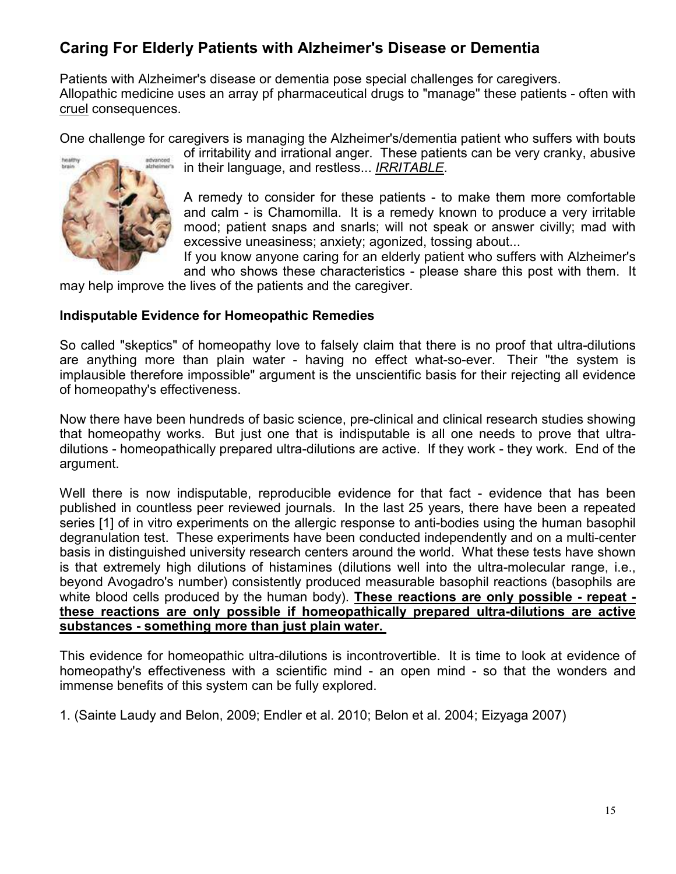# **Caring For Elderly Patients with Alzheimer's Disease or Dementia**

Patients with Alzheimer's disease or dementia pose special challenges for caregivers. Allopathic medicine uses an array pf pharmaceutical drugs to "manage" these patients - often with cruel consequences.

One challenge for caregivers is managing the Alzheimer's/dementia patient who suffers with bouts



of irritability and irrational anger. These patients can be very cranky, abusive in their language, and restless... *IRRITABLE*.

A remedy to consider for these patients - to make them more comfortable and calm - is Chamomilla. It is a remedy known to produce a very irritable mood; patient snaps and snarls; will not speak or answer civilly; mad with excessive uneasiness; anxiety; agonized, tossing about...

If you know anyone caring for an elderly patient who suffers with Alzheimer's and who shows these characteristics - please share this post with them. It

may help improve the lives of the patients and the caregiver.

#### **Indisputable Evidence for Homeopathic Remedies**

So called "skeptics" of homeopathy love to falsely claim that there is no proof that ultra-dilutions are anything more than plain water - having no effect what-so-ever. Their "the system is implausible therefore impossible" argument is the unscientific basis for their rejecting all evidence of homeopathy's effectiveness.

Now there have been hundreds of basic science, pre-clinical and clinical research studies showing that homeopathy works. But just one that is indisputable is all one needs to prove that ultradilutions - homeopathically prepared ultra-dilutions are active. If they work - they work. End of the argument.

Well there is now indisputable, reproducible evidence for that fact - evidence that has been published in countless peer reviewed journals. In the last 25 years, there have been a repeated series [1] of in vitro experiments on the allergic response to anti-bodies using the human basophil degranulation test. These experiments have been conducted independently and on a multi-center basis in distinguished university research centers around the world. What these tests have shown is that extremely high dilutions of histamines (dilutions well into the ultra-molecular range, i.e., beyond Avogadro's number) consistently produced measurable basophil reactions (basophils are white blood cells produced by the human body). **These reactions are only possible - repeat these reactions are only possible if homeopathically prepared ultra-dilutions are active substances - something more than just plain water.** 

This evidence for homeopathic ultra-dilutions is incontrovertible. It is time to look at evidence of homeopathy's effectiveness with a scientific mind - an open mind - so that the wonders and immense benefits of this system can be fully explored.

1. (Sainte Laudy and Belon, 2009; Endler et al. 2010; Belon et al. 2004; Eizyaga 2007)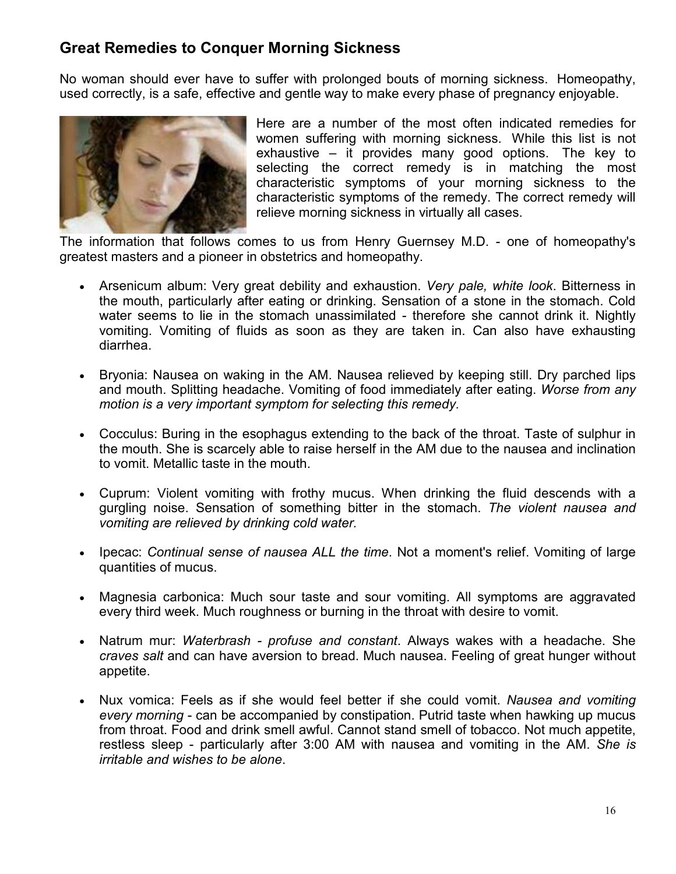## **Great Remedies to Conquer Morning Sickness**

No woman should ever have to suffer with prolonged bouts of morning sickness. Homeopathy, used correctly, is a safe, effective and gentle way to make every phase of pregnancy enjoyable.



Here are a number of the most often indicated remedies for women suffering with morning sickness. While this list is not exhaustive – it provides many good options. The key to selecting the correct remedy is in matching the most characteristic symptoms of your morning sickness to the characteristic symptoms of the remedy. The correct remedy will relieve morning sickness in virtually all cases.

The information that follows comes to us from Henry Guernsey M.D. - one of homeopathy's greatest masters and a pioneer in obstetrics and homeopathy.

- Arsenicum album: Very great debility and exhaustion. *Very pale, white look*. Bitterness in the mouth, particularly after eating or drinking. Sensation of a stone in the stomach. Cold water seems to lie in the stomach unassimilated - therefore she cannot drink it. Nightly vomiting. Vomiting of fluids as soon as they are taken in. Can also have exhausting diarrhea.
- Bryonia: Nausea on waking in the AM. Nausea relieved by keeping still. Dry parched lips and mouth. Splitting headache. Vomiting of food immediately after eating. *Worse from any motion is a very important symptom for selecting this remedy.*
- Cocculus: Buring in the esophagus extending to the back of the throat. Taste of sulphur in the mouth. She is scarcely able to raise herself in the AM due to the nausea and inclination to vomit. Metallic taste in the mouth.
- Cuprum: Violent vomiting with frothy mucus. When drinking the fluid descends with a gurgling noise. Sensation of something bitter in the stomach. *The violent nausea and vomiting are relieved by drinking cold water.*
- Ipecac: *Continual sense of nausea ALL the time*. Not a moment's relief. Vomiting of large quantities of mucus.
- Magnesia carbonica: Much sour taste and sour vomiting. All symptoms are aggravated every third week. Much roughness or burning in the throat with desire to vomit.
- Natrum mur: *Waterbrash profuse and constant*. Always wakes with a headache. She *craves salt* and can have aversion to bread. Much nausea. Feeling of great hunger without appetite.
- Nux vomica: Feels as if she would feel better if she could vomit. *Nausea and vomiting every morning* - can be accompanied by constipation. Putrid taste when hawking up mucus from throat. Food and drink smell awful. Cannot stand smell of tobacco. Not much appetite, restless sleep - particularly after 3:00 AM with nausea and vomiting in the AM. *She is irritable and wishes to be alone*.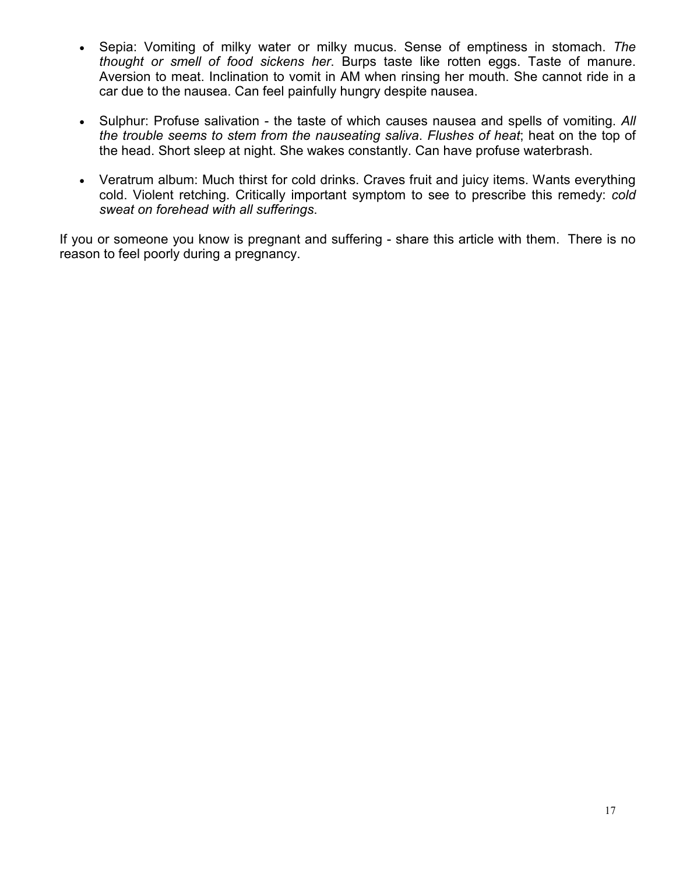- Sepia: Vomiting of milky water or milky mucus. Sense of emptiness in stomach. *The thought or smell of food sickens her*. Burps taste like rotten eggs. Taste of manure. Aversion to meat. Inclination to vomit in AM when rinsing her mouth. She cannot ride in a car due to the nausea. Can feel painfully hungry despite nausea.
- Sulphur: Profuse salivation the taste of which causes nausea and spells of vomiting. *All the trouble seems to stem from the nauseating saliva*. *Flushes of heat*; heat on the top of the head. Short sleep at night. She wakes constantly. Can have profuse waterbrash.
- Veratrum album: Much thirst for cold drinks. Craves fruit and juicy items. Wants everything cold. Violent retching. Critically important symptom to see to prescribe this remedy: *cold sweat on forehead with all sufferings*.

If you or someone you know is pregnant and suffering - share this article with them. There is no reason to feel poorly during a pregnancy.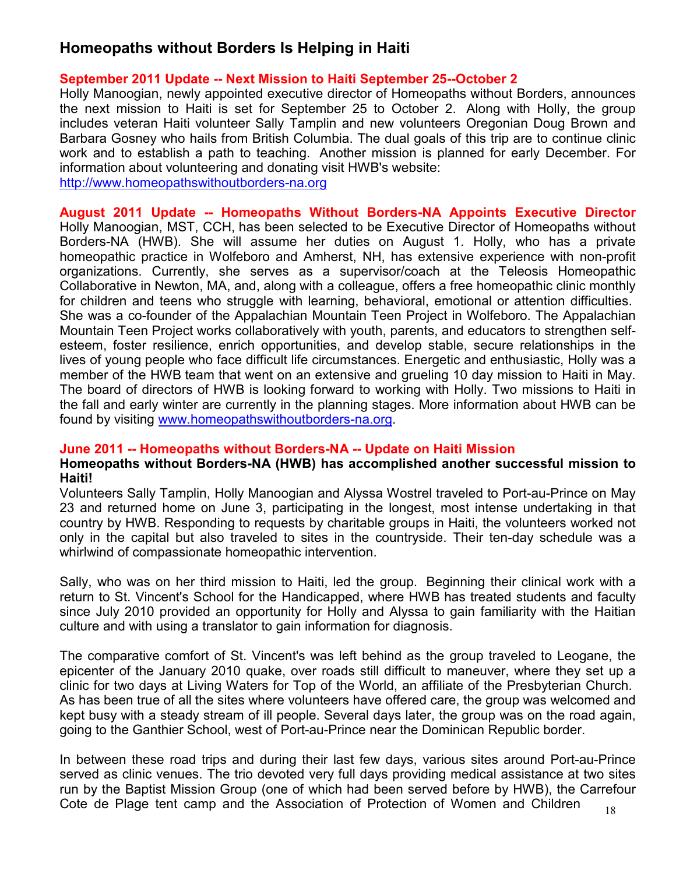## **Homeopaths without Borders Is Helping in Haiti**

### **September 2011 Update -- Next Mission to Haiti September 25--October 2**

Holly Manoogian, newly appointed executive director of Homeopaths without Borders, announces the next mission to Haiti is set for September 25 to October 2. Along with Holly, the group includes veteran Haiti volunteer Sally Tamplin and new volunteers Oregonian Doug Brown and Barbara Gosney who hails from British Columbia. The dual goals of this trip are to continue clinic work and to establish a path to teaching. Another mission is planned for early December. For information about volunteering and donating visit HWB's website:

http://www.homeopathswithoutborders-na.org

**August 2011 Update -- Homeopaths Without Borders-NA Appoints Executive Director** Holly Manoogian, MST, CCH, has been selected to be Executive Director of Homeopaths without Borders-NA (HWB). She will assume her duties on August 1. Holly, who has a private homeopathic practice in Wolfeboro and Amherst, NH, has extensive experience with non-profit organizations. Currently, she serves as a supervisor/coach at the Teleosis Homeopathic Collaborative in Newton, MA, and, along with a colleague, offers a free homeopathic clinic monthly for children and teens who struggle with learning, behavioral, emotional or attention difficulties. She was a co-founder of the Appalachian Mountain Teen Project in Wolfeboro. The Appalachian Mountain Teen Project works collaboratively with youth, parents, and educators to strengthen selfesteem, foster resilience, enrich opportunities, and develop stable, secure relationships in the lives of young people who face difficult life circumstances. Energetic and enthusiastic, Holly was a member of the HWB team that went on an extensive and grueling 10 day mission to Haiti in May. The board of directors of HWB is looking forward to working with Holly. Two missions to Haiti in the fall and early winter are currently in the planning stages. More information about HWB can be found by visiting www.homeopathswithoutborders-na.org.

## **June 2011 -- Homeopaths without Borders-NA -- Update on Haiti Mission**

#### **Homeopaths without Borders-NA (HWB) has accomplished another successful mission to Haiti!**

Volunteers Sally Tamplin, Holly Manoogian and Alyssa Wostrel traveled to Port-au-Prince on May 23 and returned home on June 3, participating in the longest, most intense undertaking in that country by HWB. Responding to requests by charitable groups in Haiti, the volunteers worked not only in the capital but also traveled to sites in the countryside. Their ten-day schedule was a whirlwind of compassionate homeopathic intervention.

Sally, who was on her third mission to Haiti, led the group. Beginning their clinical work with a return to St. Vincent's School for the Handicapped, where HWB has treated students and faculty since July 2010 provided an opportunity for Holly and Alyssa to gain familiarity with the Haitian culture and with using a translator to gain information for diagnosis.

The comparative comfort of St. Vincent's was left behind as the group traveled to Leogane, the epicenter of the January 2010 quake, over roads still difficult to maneuver, where they set up a clinic for two days at Living Waters for Top of the World, an affiliate of the Presbyterian Church. As has been true of all the sites where volunteers have offered care, the group was welcomed and kept busy with a steady stream of ill people. Several days later, the group was on the road again, going to the Ganthier School, west of Port-au-Prince near the Dominican Republic border.

In between these road trips and during their last few days, various sites around Port-au-Prince served as clinic venues. The trio devoted very full days providing medical assistance at two sites run by the Baptist Mission Group (one of which had been served before by HWB), the Carrefour Cote de Plage tent camp and the Association of Protection of Women and Children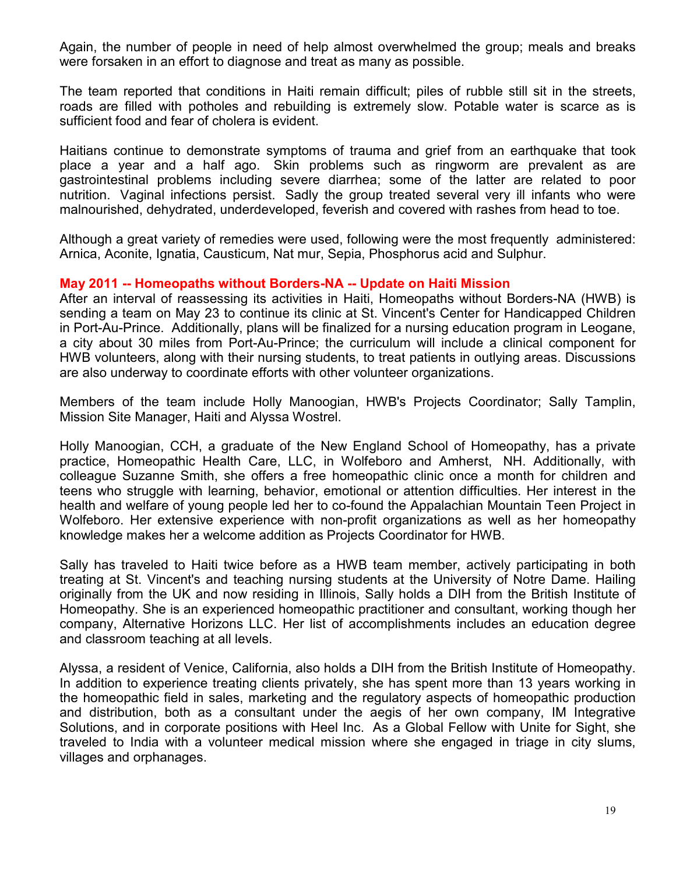Again, the number of people in need of help almost overwhelmed the group; meals and breaks were forsaken in an effort to diagnose and treat as many as possible.

The team reported that conditions in Haiti remain difficult; piles of rubble still sit in the streets, roads are filled with potholes and rebuilding is extremely slow. Potable water is scarce as is sufficient food and fear of cholera is evident.

Haitians continue to demonstrate symptoms of trauma and grief from an earthquake that took place a year and a half ago. Skin problems such as ringworm are prevalent as are gastrointestinal problems including severe diarrhea; some of the latter are related to poor nutrition. Vaginal infections persist. Sadly the group treated several very ill infants who were malnourished, dehydrated, underdeveloped, feverish and covered with rashes from head to toe.

Although a great variety of remedies were used, following were the most frequently administered: Arnica, Aconite, Ignatia, Causticum, Nat mur, Sepia, Phosphorus acid and Sulphur.

#### **May 2011 -- Homeopaths without Borders-NA -- Update on Haiti Mission**

After an interval of reassessing its activities in Haiti, Homeopaths without Borders-NA (HWB) is sending a team on May 23 to continue its clinic at St. Vincent's Center for Handicapped Children in Port-Au-Prince. Additionally, plans will be finalized for a nursing education program in Leogane, a city about 30 miles from Port-Au-Prince; the curriculum will include a clinical component for HWB volunteers, along with their nursing students, to treat patients in outlying areas. Discussions are also underway to coordinate efforts with other volunteer organizations.

Members of the team include Holly Manoogian, HWB's Projects Coordinator; Sally Tamplin, Mission Site Manager, Haiti and Alyssa Wostrel.

Holly Manoogian, CCH, a graduate of the New England School of Homeopathy, has a private practice, Homeopathic Health Care, LLC, in Wolfeboro and Amherst, NH. Additionally, with colleague Suzanne Smith, she offers a free homeopathic clinic once a month for children and teens who struggle with learning, behavior, emotional or attention difficulties. Her interest in the health and welfare of young people led her to co-found the Appalachian Mountain Teen Project in Wolfeboro. Her extensive experience with non-profit organizations as well as her homeopathy knowledge makes her a welcome addition as Projects Coordinator for HWB.

Sally has traveled to Haiti twice before as a HWB team member, actively participating in both treating at St. Vincent's and teaching nursing students at the University of Notre Dame. Hailing originally from the UK and now residing in Illinois, Sally holds a DIH from the British Institute of Homeopathy. She is an experienced homeopathic practitioner and consultant, working though her company, Alternative Horizons LLC. Her list of accomplishments includes an education degree and classroom teaching at all levels.

Alyssa, a resident of Venice, California, also holds a DIH from the British Institute of Homeopathy. In addition to experience treating clients privately, she has spent more than 13 years working in the homeopathic field in sales, marketing and the regulatory aspects of homeopathic production and distribution, both as a consultant under the aegis of her own company, IM Integrative Solutions, and in corporate positions with Heel Inc. As a Global Fellow with Unite for Sight, she traveled to India with a volunteer medical mission where she engaged in triage in city slums, villages and orphanages.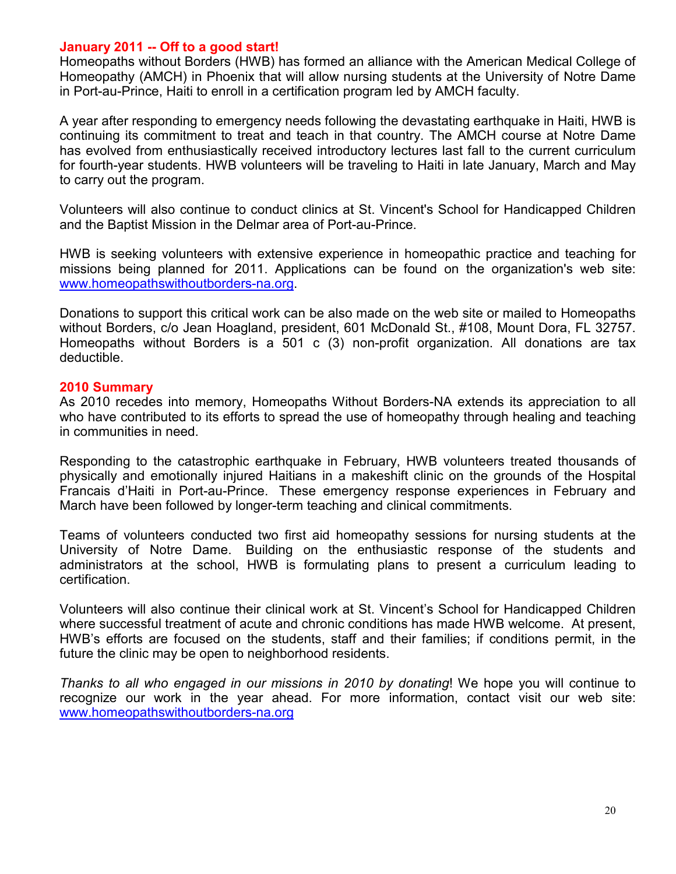#### **January 2011 -- Off to a good start!**

Homeopaths without Borders (HWB) has formed an alliance with the American Medical College of Homeopathy (AMCH) in Phoenix that will allow nursing students at the University of Notre Dame in Port-au-Prince, Haiti to enroll in a certification program led by AMCH faculty.

A year after responding to emergency needs following the devastating earthquake in Haiti, HWB is continuing its commitment to treat and teach in that country. The AMCH course at Notre Dame has evolved from enthusiastically received introductory lectures last fall to the current curriculum for fourth-year students. HWB volunteers will be traveling to Haiti in late January, March and May to carry out the program.

Volunteers will also continue to conduct clinics at St. Vincent's School for Handicapped Children and the Baptist Mission in the Delmar area of Port-au-Prince.

HWB is seeking volunteers with extensive experience in homeopathic practice and teaching for missions being planned for 2011. Applications can be found on the organization's web site: www.homeopathswithoutborders-na.org.

Donations to support this critical work can be also made on the web site or mailed to Homeopaths without Borders, c/o Jean Hoagland, president, 601 McDonald St., #108, Mount Dora, FL 32757. Homeopaths without Borders is a 501 c (3) non-profit organization. All donations are tax deductible.

#### **2010 Summary**

As 2010 recedes into memory, Homeopaths Without Borders-NA extends its appreciation to all who have contributed to its efforts to spread the use of homeopathy through healing and teaching in communities in need.

Responding to the catastrophic earthquake in February, HWB volunteers treated thousands of physically and emotionally injured Haitians in a makeshift clinic on the grounds of the Hospital Francais d'Haiti in Port-au-Prince. These emergency response experiences in February and March have been followed by longer-term teaching and clinical commitments.

Teams of volunteers conducted two first aid homeopathy sessions for nursing students at the University of Notre Dame. Building on the enthusiastic response of the students and administrators at the school, HWB is formulating plans to present a curriculum leading to certification.

Volunteers will also continue their clinical work at St. Vincent's School for Handicapped Children where successful treatment of acute and chronic conditions has made HWB welcome. At present, HWB's efforts are focused on the students, staff and their families; if conditions permit, in the future the clinic may be open to neighborhood residents.

*Thanks to all who engaged in our missions in 2010 by donating*! We hope you will continue to recognize our work in the year ahead. For more information, contact visit our web site: www.homeopathswithoutborders-na.org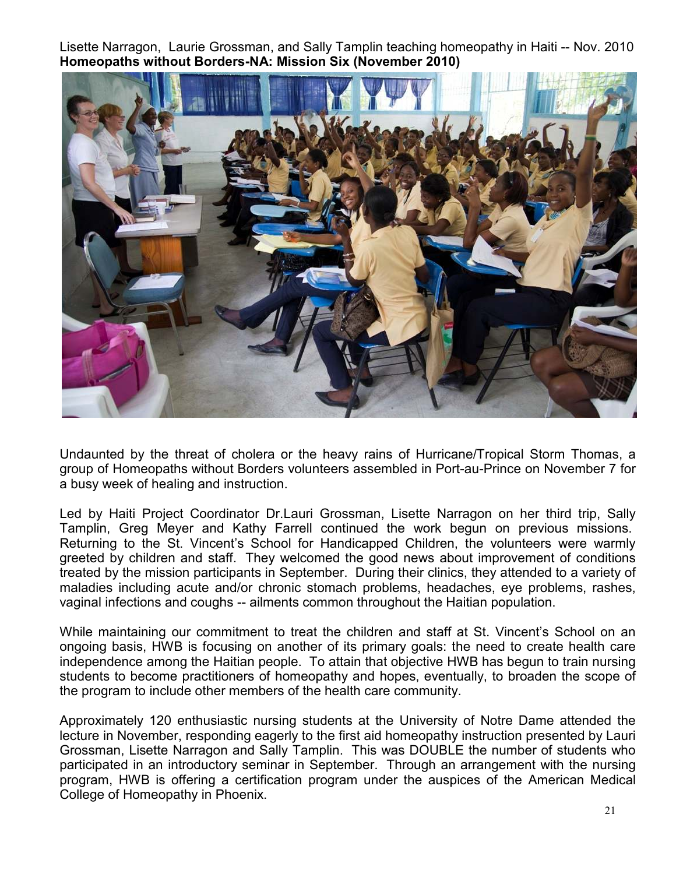Lisette Narragon, Laurie Grossman, and Sally Tamplin teaching homeopathy in Haiti -- Nov. 2010 **Homeopaths without Borders-NA: Mission Six (November 2010)** 



Undaunted by the threat of cholera or the heavy rains of Hurricane/Tropical Storm Thomas, a group of Homeopaths without Borders volunteers assembled in Port-au-Prince on November 7 for a busy week of healing and instruction.

Led by Haiti Project Coordinator Dr.Lauri Grossman, Lisette Narragon on her third trip, Sally Tamplin, Greg Meyer and Kathy Farrell continued the work begun on previous missions. Returning to the St. Vincent's School for Handicapped Children, the volunteers were warmly greeted by children and staff. They welcomed the good news about improvement of conditions treated by the mission participants in September. During their clinics, they attended to a variety of maladies including acute and/or chronic stomach problems, headaches, eye problems, rashes, vaginal infections and coughs -- ailments common throughout the Haitian population.

While maintaining our commitment to treat the children and staff at St. Vincent's School on an ongoing basis, HWB is focusing on another of its primary goals: the need to create health care independence among the Haitian people. To attain that objective HWB has begun to train nursing students to become practitioners of homeopathy and hopes, eventually, to broaden the scope of the program to include other members of the health care community.

Approximately 120 enthusiastic nursing students at the University of Notre Dame attended the lecture in November, responding eagerly to the first aid homeopathy instruction presented by Lauri Grossman, Lisette Narragon and Sally Tamplin. This was DOUBLE the number of students who participated in an introductory seminar in September. Through an arrangement with the nursing program, HWB is offering a certification program under the auspices of the American Medical College of Homeopathy in Phoenix.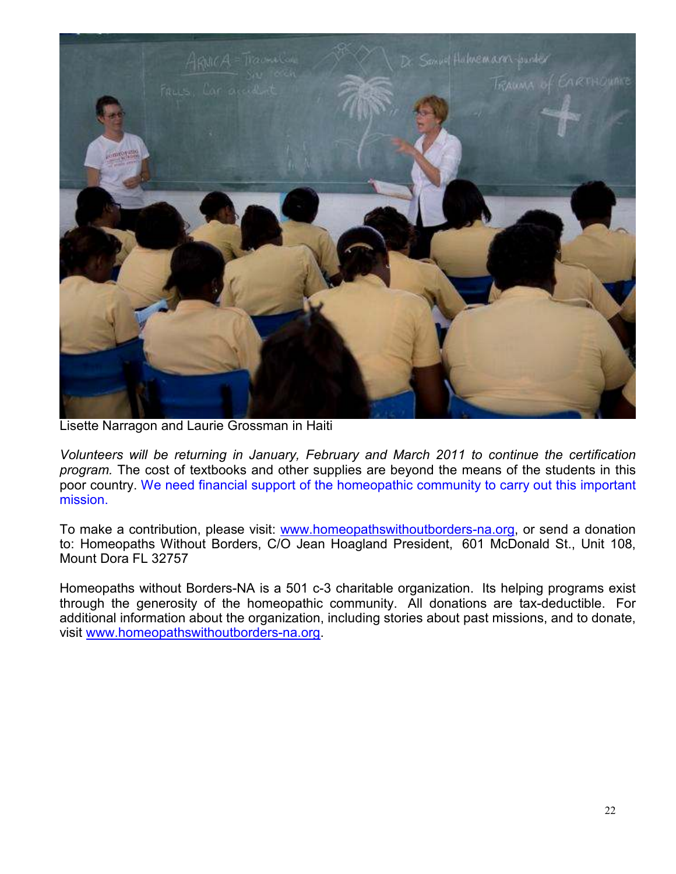

Lisette Narragon and Laurie Grossman in Haiti

*Volunteers will be returning in January, February and March 2011 to continue the certification program.* The cost of textbooks and other supplies are beyond the means of the students in this poor country. We need financial support of the homeopathic community to carry out this important mission.

To make a contribution, please visit: www.homeopathswithoutborders-na.org, or send a donation to: Homeopaths Without Borders, C/O Jean Hoagland President, 601 McDonald St., Unit 108, Mount Dora FL 32757

Homeopaths without Borders-NA is a 501 c-3 charitable organization. Its helping programs exist through the generosity of the homeopathic community. All donations are tax-deductible. For additional information about the organization, including stories about past missions, and to donate, visit www.homeopathswithoutborders-na.org.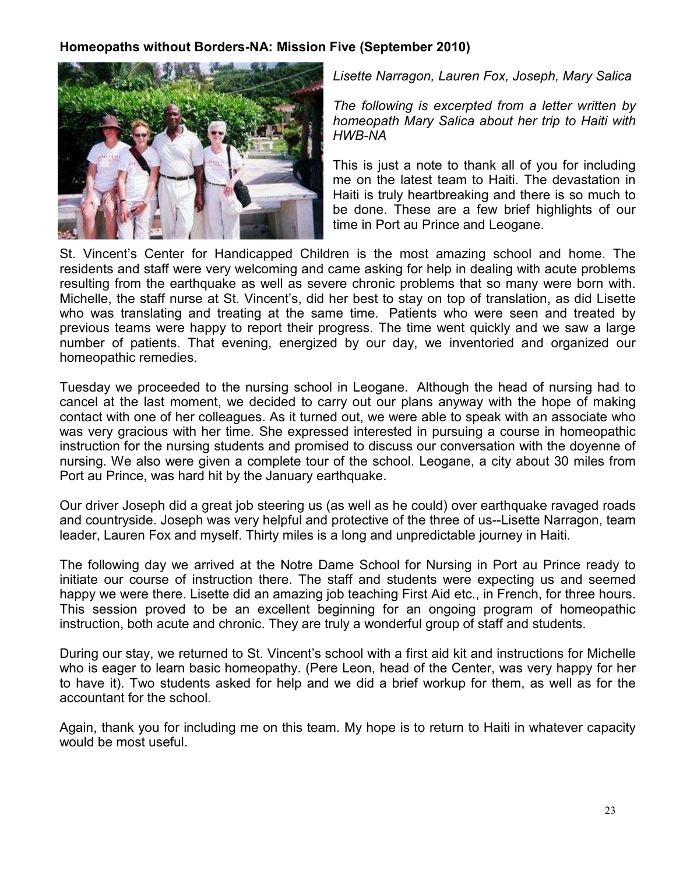### **Homeopaths without Borders-NA: Mission Five (September 2010)**



*Lisette Narragon, Lauren Fox, Joseph, Mary Salica* 

*The following is excerpted from a letter written by homeopath Mary Salica about her trip to Haiti with HWB-NA* 

This is just a note to thank all of you for including me on the latest team to Haiti. The devastation in Haiti is truly heartbreaking and there is so much to be done. These are a few brief highlights of our time in Port au Prince and Leogane.

St. Vincent's Center for Handicapped Children is the most amazing school and home. The residents and staff were very welcoming and came asking for help in dealing with acute problems resulting from the earthquake as well as severe chronic problems that so many were born with. Michelle, the staff nurse at St. Vincent's, did her best to stay on top of translation, as did Lisette who was translating and treating at the same time. Patients who were seen and treated by previous teams were happy to report their progress. The time went quickly and we saw a large number of patients. That evening, energized by our day, we inventoried and organized our homeopathic remedies.

Tuesday we proceeded to the nursing school in Leogane. Although the head of nursing had to cancel at the last moment, we decided to carry out our plans anyway with the hope of making contact with one of her colleagues. As it turned out, we were able to speak with an associate who was very gracious with her time. She expressed interested in pursuing a course in homeopathic instruction for the nursing students and promised to discuss our conversation with the doyenne of nursing. We also were given a complete tour of the school. Leogane, a city about 30 miles from Port au Prince, was hard hit by the January earthquake.

Our driver Joseph did a great job steering us (as well as he could) over earthquake ravaged roads and countryside. Joseph was very helpful and protective of the three of us--Lisette Narragon, team leader, Lauren Fox and myself. Thirty miles is a long and unpredictable journey in Haiti.

The following day we arrived at the Notre Dame School for Nursing in Port au Prince ready to initiate our course of instruction there. The staff and students were expecting us and seemed happy we were there. Lisette did an amazing job teaching First Aid etc., in French, for three hours. This session proved to be an excellent beginning for an ongoing program of homeopathic instruction, both acute and chronic. They are truly a wonderful group of staff and students.

During our stay, we returned to St. Vincent's school with a first aid kit and instructions for Michelle who is eager to learn basic homeopathy. (Pere Leon, head of the Center, was very happy for her to have it). Two students asked for help and we did a brief workup for them, as well as for the accountant for the school.

Again, thank you for including me on this team. My hope is to return to Haiti in whatever capacity would be most useful.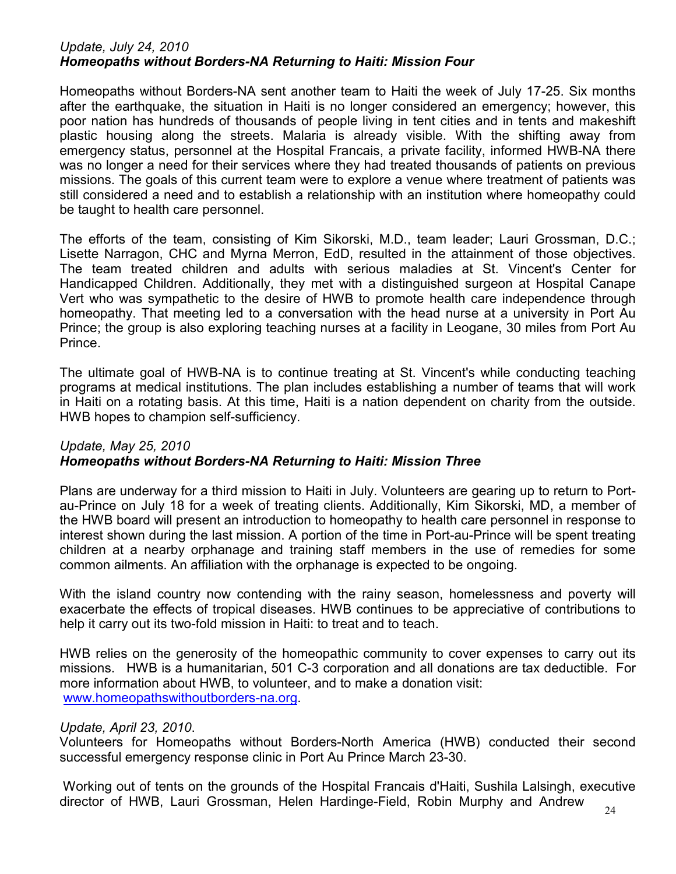#### *Update, July 24, 2010 Homeopaths without Borders-NA Returning to Haiti: Mission Four*

Homeopaths without Borders-NA sent another team to Haiti the week of July 17-25. Six months after the earthquake, the situation in Haiti is no longer considered an emergency; however, this poor nation has hundreds of thousands of people living in tent cities and in tents and makeshift plastic housing along the streets. Malaria is already visible. With the shifting away from emergency status, personnel at the Hospital Francais, a private facility, informed HWB-NA there was no longer a need for their services where they had treated thousands of patients on previous missions. The goals of this current team were to explore a venue where treatment of patients was still considered a need and to establish a relationship with an institution where homeopathy could be taught to health care personnel.

The efforts of the team, consisting of Kim Sikorski, M.D., team leader; Lauri Grossman, D.C.; Lisette Narragon, CHC and Myrna Merron, EdD, resulted in the attainment of those objectives. The team treated children and adults with serious maladies at St. Vincent's Center for Handicapped Children. Additionally, they met with a distinguished surgeon at Hospital Canape Vert who was sympathetic to the desire of HWB to promote health care independence through homeopathy. That meeting led to a conversation with the head nurse at a university in Port Au Prince; the group is also exploring teaching nurses at a facility in Leogane, 30 miles from Port Au Prince.

The ultimate goal of HWB-NA is to continue treating at St. Vincent's while conducting teaching programs at medical institutions. The plan includes establishing a number of teams that will work in Haiti on a rotating basis. At this time, Haiti is a nation dependent on charity from the outside. HWB hopes to champion self-sufficiency.

#### *Update, May 25, 2010 Homeopaths without Borders-NA Returning to Haiti: Mission Three*

Plans are underway for a third mission to Haiti in July. Volunteers are gearing up to return to Portau-Prince on July 18 for a week of treating clients. Additionally, Kim Sikorski, MD, a member of the HWB board will present an introduction to homeopathy to health care personnel in response to interest shown during the last mission. A portion of the time in Port-au-Prince will be spent treating children at a nearby orphanage and training staff members in the use of remedies for some common ailments. An affiliation with the orphanage is expected to be ongoing.

With the island country now contending with the rainy season, homelessness and poverty will exacerbate the effects of tropical diseases. HWB continues to be appreciative of contributions to help it carry out its two-fold mission in Haiti: to treat and to teach.

HWB relies on the generosity of the homeopathic community to cover expenses to carry out its missions. HWB is a humanitarian, 501 C-3 corporation and all donations are tax deductible. For more information about HWB, to volunteer, and to make a donation visit: www.homeopathswithoutborders-na.org.

#### *Update, April 23, 2010*.

Volunteers for Homeopaths without Borders-North America (HWB) conducted their second successful emergency response clinic in Port Au Prince March 23-30.

 Working out of tents on the grounds of the Hospital Francais d'Haiti, Sushila Lalsingh, executive director of HWB, Lauri Grossman, Helen Hardinge-Field, Robin Murphy and Andrew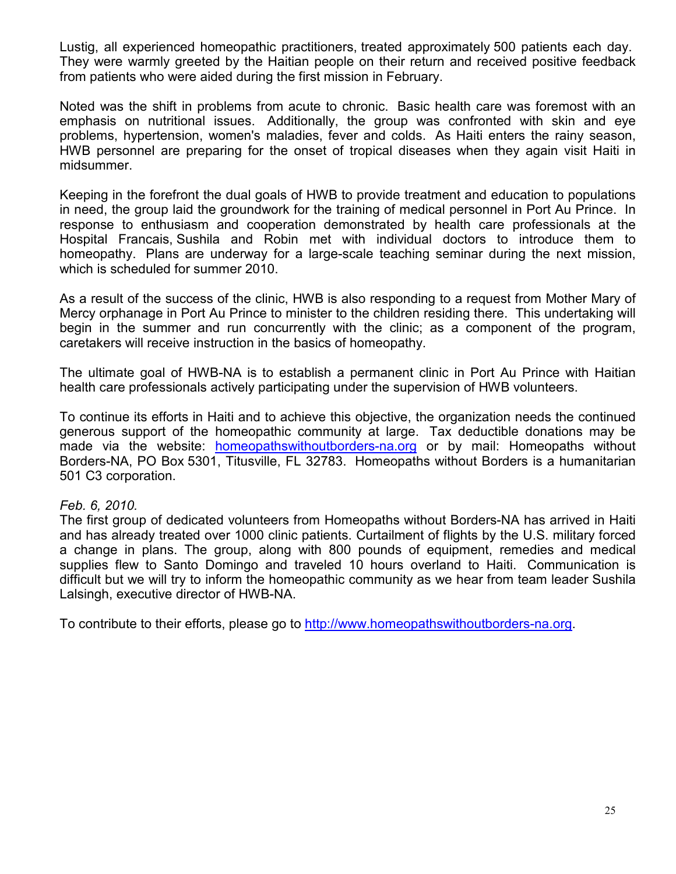Lustig, all experienced homeopathic practitioners, treated approximately 500 patients each day. They were warmly greeted by the Haitian people on their return and received positive feedback from patients who were aided during the first mission in February.

Noted was the shift in problems from acute to chronic. Basic health care was foremost with an emphasis on nutritional issues. Additionally, the group was confronted with skin and eye problems, hypertension, women's maladies, fever and colds. As Haiti enters the rainy season, HWB personnel are preparing for the onset of tropical diseases when they again visit Haiti in midsummer.

Keeping in the forefront the dual goals of HWB to provide treatment and education to populations in need, the group laid the groundwork for the training of medical personnel in Port Au Prince. In response to enthusiasm and cooperation demonstrated by health care professionals at the Hospital Francais, Sushila and Robin met with individual doctors to introduce them to homeopathy. Plans are underway for a large-scale teaching seminar during the next mission, which is scheduled for summer 2010.

As a result of the success of the clinic, HWB is also responding to a request from Mother Mary of Mercy orphanage in Port Au Prince to minister to the children residing there. This undertaking will begin in the summer and run concurrently with the clinic; as a component of the program, caretakers will receive instruction in the basics of homeopathy.

The ultimate goal of HWB-NA is to establish a permanent clinic in Port Au Prince with Haitian health care professionals actively participating under the supervision of HWB volunteers.

To continue its efforts in Haiti and to achieve this objective, the organization needs the continued generous support of the homeopathic community at large. Tax deductible donations may be made via the website: homeopathswithoutborders-na.org or by mail: Homeopaths without Borders-NA, PO Box 5301, Titusville, FL 32783. Homeopaths without Borders is a humanitarian 501 C3 corporation.

## *Feb. 6, 2010.*

The first group of dedicated volunteers from Homeopaths without Borders-NA has arrived in Haiti and has already treated over 1000 clinic patients. Curtailment of flights by the U.S. military forced a change in plans. The group, along with 800 pounds of equipment, remedies and medical supplies flew to Santo Domingo and traveled 10 hours overland to Haiti. Communication is difficult but we will try to inform the homeopathic community as we hear from team leader Sushila Lalsingh, executive director of HWB-NA.

To contribute to their efforts, please go to http://www.homeopathswithoutborders-na.org.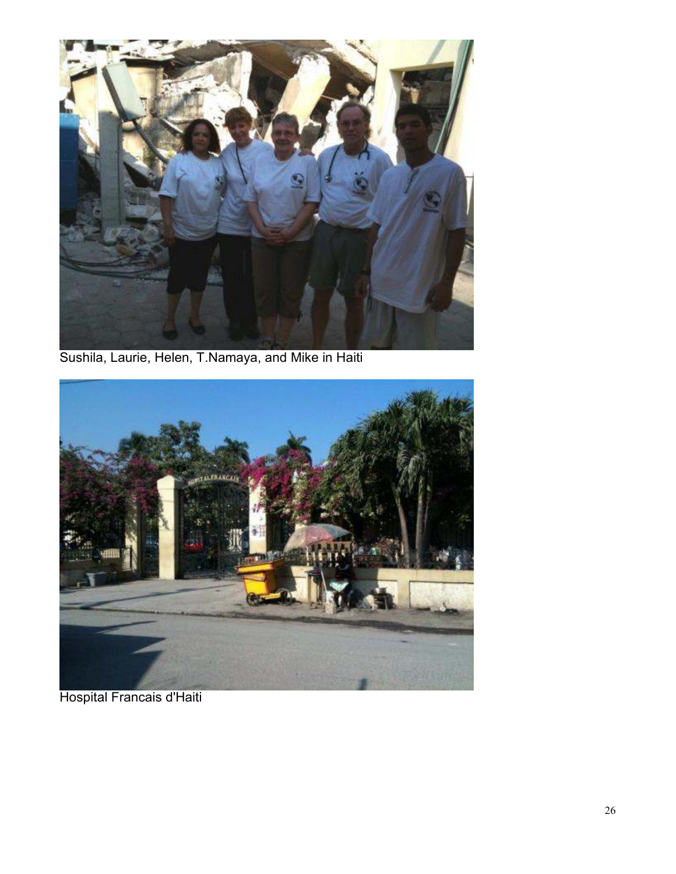

Sushila, Laurie, Helen, T.Namaya, and Mike in Haiti



Hospital Francais d'Haiti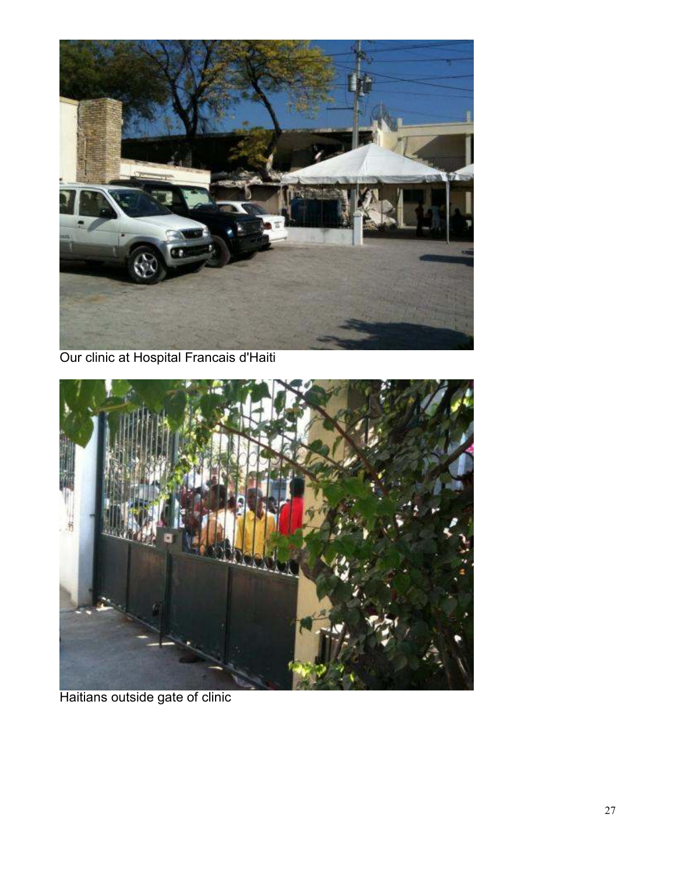

Our clinic at Hospital Francais d'Haiti



Haitians outside gate of clinic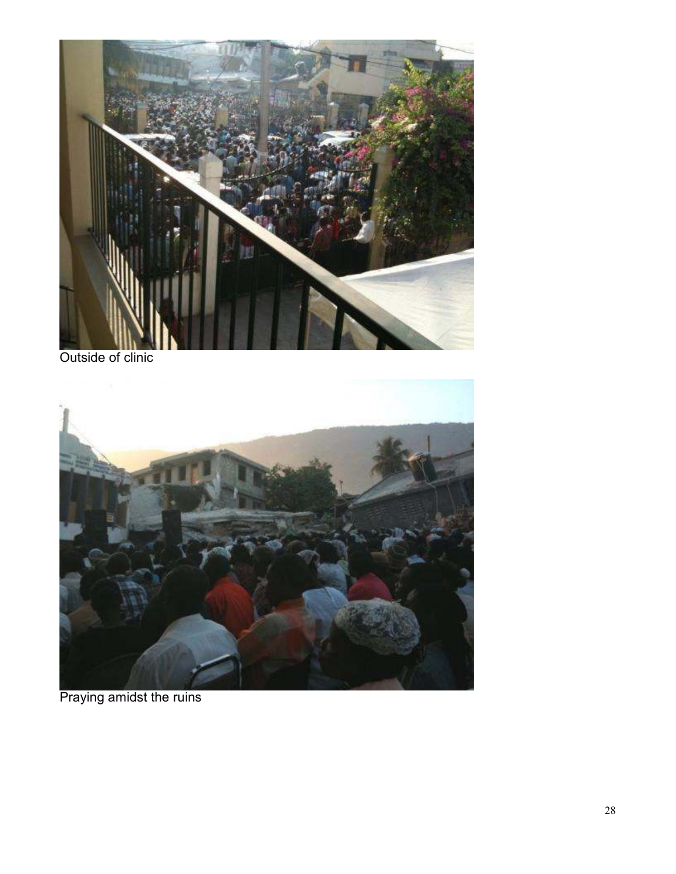

Outside of clinic



Praying amidst the ruins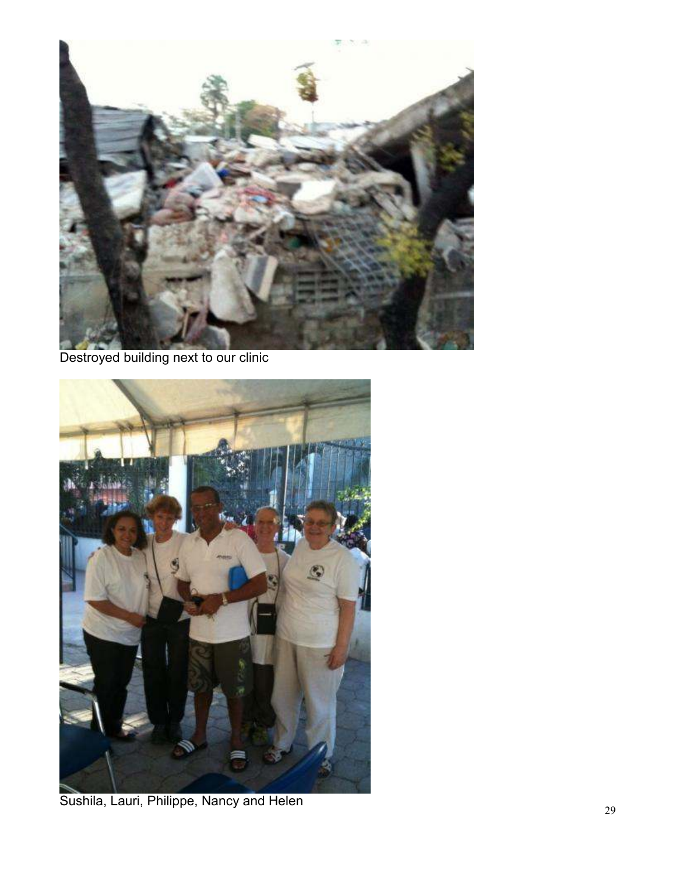

Destroyed building next to our clinic



Sushila, Lauri, Philippe, Nancy and Helen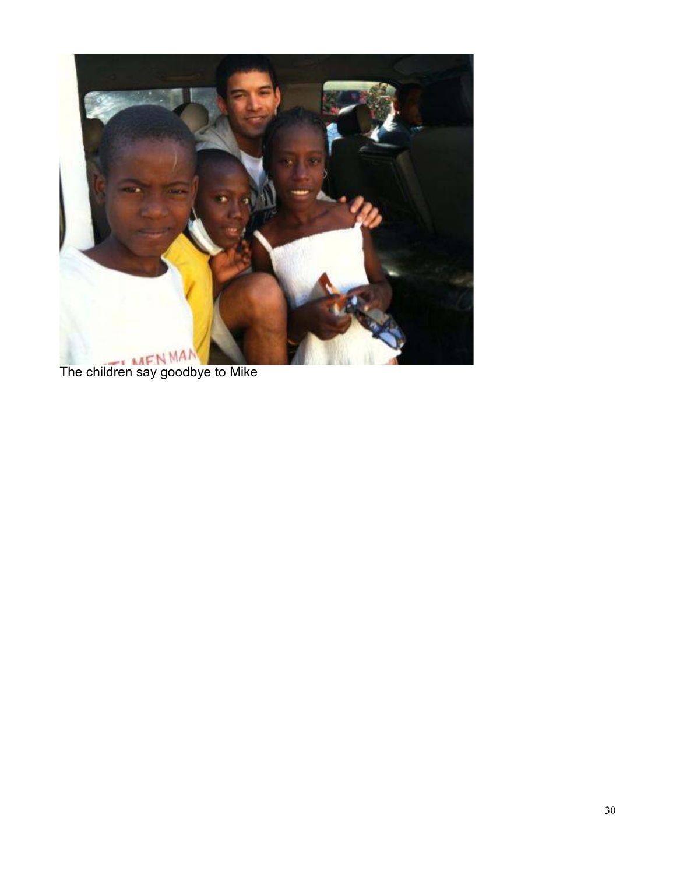

The children say goodbye to Mike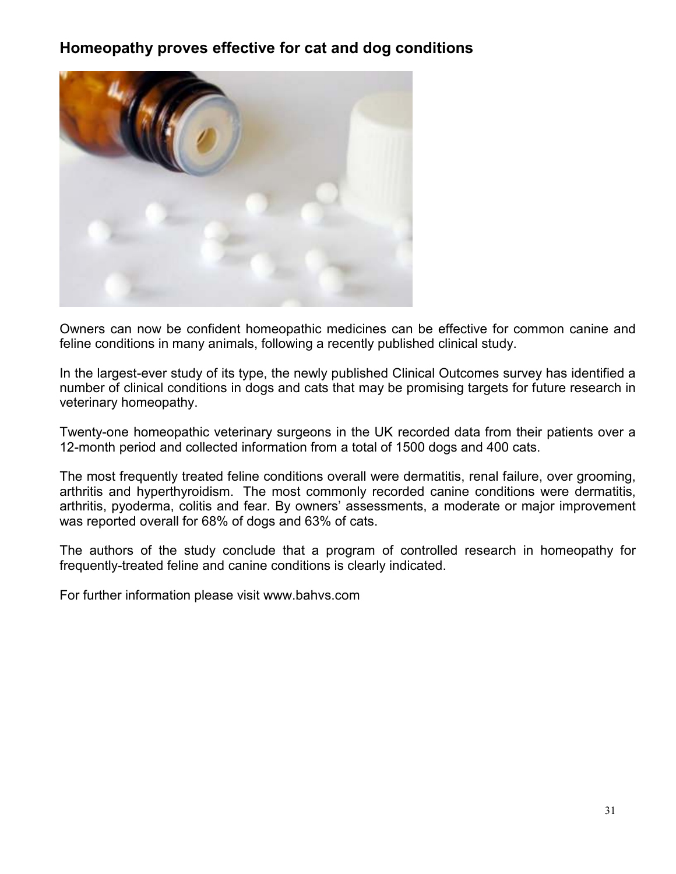# **Homeopathy proves effective for cat and dog conditions**



Owners can now be confident homeopathic medicines can be effective for common canine and feline conditions in many animals, following a recently published clinical study.

In the largest-ever study of its type, the newly published Clinical Outcomes survey has identified a number of clinical conditions in dogs and cats that may be promising targets for future research in veterinary homeopathy.

Twenty-one homeopathic veterinary surgeons in the UK recorded data from their patients over a 12-month period and collected information from a total of 1500 dogs and 400 cats.

The most frequently treated feline conditions overall were dermatitis, renal failure, over grooming, arthritis and hyperthyroidism. The most commonly recorded canine conditions were dermatitis, arthritis, pyoderma, colitis and fear. By owners' assessments, a moderate or major improvement was reported overall for 68% of dogs and 63% of cats.

The authors of the study conclude that a program of controlled research in homeopathy for frequently-treated feline and canine conditions is clearly indicated.

For further information please visit www.bahvs.com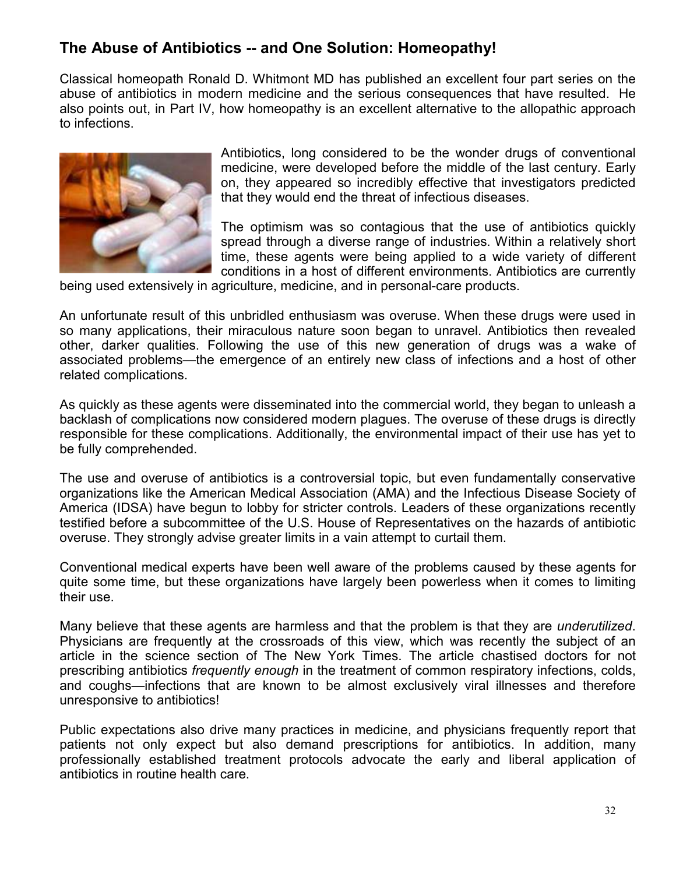# **The Abuse of Antibiotics -- and One Solution: Homeopathy!**

Classical homeopath Ronald D. Whitmont MD has published an excellent four part series on the abuse of antibiotics in modern medicine and the serious consequences that have resulted. He also points out, in Part IV, how homeopathy is an excellent alternative to the allopathic approach to infections.



Antibiotics, long considered to be the wonder drugs of conventional medicine, were developed before the middle of the last century. Early on, they appeared so incredibly effective that investigators predicted that they would end the threat of infectious diseases.

The optimism was so contagious that the use of antibiotics quickly spread through a diverse range of industries. Within a relatively short time, these agents were being applied to a wide variety of different conditions in a host of different environments. Antibiotics are currently

being used extensively in agriculture, medicine, and in personal-care products.

An unfortunate result of this unbridled enthusiasm was overuse. When these drugs were used in so many applications, their miraculous nature soon began to unravel. Antibiotics then revealed other, darker qualities. Following the use of this new generation of drugs was a wake of associated problems—the emergence of an entirely new class of infections and a host of other related complications.

As quickly as these agents were disseminated into the commercial world, they began to unleash a backlash of complications now considered modern plagues. The overuse of these drugs is directly responsible for these complications. Additionally, the environmental impact of their use has yet to be fully comprehended.

The use and overuse of antibiotics is a controversial topic, but even fundamentally conservative organizations like the American Medical Association (AMA) and the Infectious Disease Society of America (IDSA) have begun to lobby for stricter controls. Leaders of these organizations recently testified before a subcommittee of the U.S. House of Representatives on the hazards of antibiotic overuse. They strongly advise greater limits in a vain attempt to curtail them.

Conventional medical experts have been well aware of the problems caused by these agents for quite some time, but these organizations have largely been powerless when it comes to limiting their use.

Many believe that these agents are harmless and that the problem is that they are *underutilized*. Physicians are frequently at the crossroads of this view, which was recently the subject of an article in the science section of The New York Times. The article chastised doctors for not prescribing antibiotics *frequently enough* in the treatment of common respiratory infections, colds, and coughs—infections that are known to be almost exclusively viral illnesses and therefore unresponsive to antibiotics!

Public expectations also drive many practices in medicine, and physicians frequently report that patients not only expect but also demand prescriptions for antibiotics. In addition, many professionally established treatment protocols advocate the early and liberal application of antibiotics in routine health care.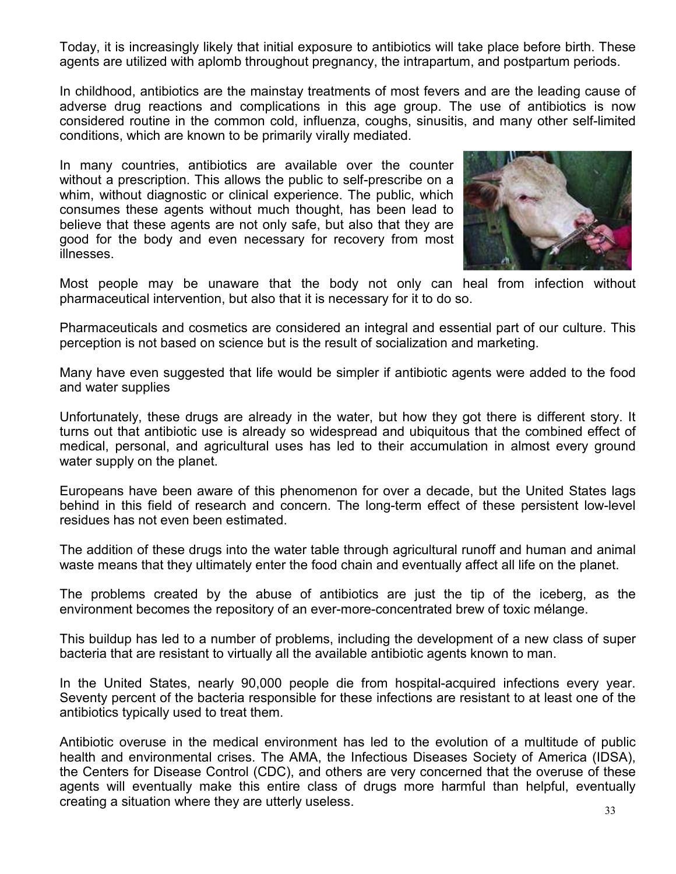Today, it is increasingly likely that initial exposure to antibiotics will take place before birth. These agents are utilized with aplomb throughout pregnancy, the intrapartum, and postpartum periods.

In childhood, antibiotics are the mainstay treatments of most fevers and are the leading cause of adverse drug reactions and complications in this age group. The use of antibiotics is now considered routine in the common cold, influenza, coughs, sinusitis, and many other self-limited conditions, which are known to be primarily virally mediated.

In many countries, antibiotics are available over the counter without a prescription. This allows the public to self-prescribe on a whim, without diagnostic or clinical experience. The public, which consumes these agents without much thought, has been lead to believe that these agents are not only safe, but also that they are good for the body and even necessary for recovery from most illnesses.



Most people may be unaware that the body not only can heal from infection without pharmaceutical intervention, but also that it is necessary for it to do so.

Pharmaceuticals and cosmetics are considered an integral and essential part of our culture. This perception is not based on science but is the result of socialization and marketing.

Many have even suggested that life would be simpler if antibiotic agents were added to the food and water supplies

Unfortunately, these drugs are already in the water, but how they got there is different story. It turns out that antibiotic use is already so widespread and ubiquitous that the combined effect of medical, personal, and agricultural uses has led to their accumulation in almost every ground water supply on the planet.

Europeans have been aware of this phenomenon for over a decade, but the United States lags behind in this field of research and concern. The long-term effect of these persistent low-level residues has not even been estimated.

The addition of these drugs into the water table through agricultural runoff and human and animal waste means that they ultimately enter the food chain and eventually affect all life on the planet.

The problems created by the abuse of antibiotics are just the tip of the iceberg, as the environment becomes the repository of an ever-more-concentrated brew of toxic mélange.

This buildup has led to a number of problems, including the development of a new class of super bacteria that are resistant to virtually all the available antibiotic agents known to man.

In the United States, nearly 90,000 people die from hospital-acquired infections every year. Seventy percent of the bacteria responsible for these infections are resistant to at least one of the antibiotics typically used to treat them.

Antibiotic overuse in the medical environment has led to the evolution of a multitude of public health and environmental crises. The AMA, the Infectious Diseases Society of America (IDSA), the Centers for Disease Control (CDC), and others are very concerned that the overuse of these agents will eventually make this entire class of drugs more harmful than helpful, eventually creating a situation where they are utterly useless.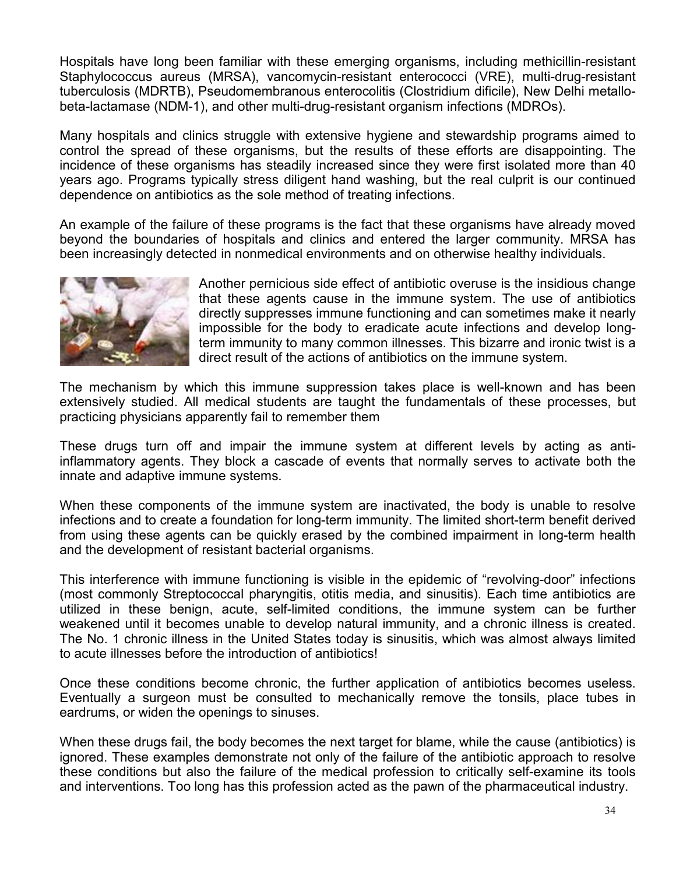Hospitals have long been familiar with these emerging organisms, including methicillin-resistant Staphylococcus aureus (MRSA), vancomycin-resistant enterococci (VRE), multi-drug-resistant tuberculosis (MDRTB), Pseudomembranous enterocolitis (Clostridium dificile), New Delhi metallobeta-lactamase (NDM-1), and other multi-drug-resistant organism infections (MDROs).

Many hospitals and clinics struggle with extensive hygiene and stewardship programs aimed to control the spread of these organisms, but the results of these efforts are disappointing. The incidence of these organisms has steadily increased since they were first isolated more than 40 years ago. Programs typically stress diligent hand washing, but the real culprit is our continued dependence on antibiotics as the sole method of treating infections.

An example of the failure of these programs is the fact that these organisms have already moved beyond the boundaries of hospitals and clinics and entered the larger community. MRSA has been increasingly detected in nonmedical environments and on otherwise healthy individuals.



Another pernicious side effect of antibiotic overuse is the insidious change that these agents cause in the immune system. The use of antibiotics directly suppresses immune functioning and can sometimes make it nearly impossible for the body to eradicate acute infections and develop longterm immunity to many common illnesses. This bizarre and ironic twist is a direct result of the actions of antibiotics on the immune system.

The mechanism by which this immune suppression takes place is well-known and has been extensively studied. All medical students are taught the fundamentals of these processes, but practicing physicians apparently fail to remember them

These drugs turn off and impair the immune system at different levels by acting as antiinflammatory agents. They block a cascade of events that normally serves to activate both the innate and adaptive immune systems.

When these components of the immune system are inactivated, the body is unable to resolve infections and to create a foundation for long-term immunity. The limited short-term benefit derived from using these agents can be quickly erased by the combined impairment in long-term health and the development of resistant bacterial organisms.

This interference with immune functioning is visible in the epidemic of "revolving-door" infections (most commonly Streptococcal pharyngitis, otitis media, and sinusitis). Each time antibiotics are utilized in these benign, acute, self-limited conditions, the immune system can be further weakened until it becomes unable to develop natural immunity, and a chronic illness is created. The No. 1 chronic illness in the United States today is sinusitis, which was almost always limited to acute illnesses before the introduction of antibiotics!

Once these conditions become chronic, the further application of antibiotics becomes useless. Eventually a surgeon must be consulted to mechanically remove the tonsils, place tubes in eardrums, or widen the openings to sinuses.

When these drugs fail, the body becomes the next target for blame, while the cause (antibiotics) is ignored. These examples demonstrate not only of the failure of the antibiotic approach to resolve these conditions but also the failure of the medical profession to critically self-examine its tools and interventions. Too long has this profession acted as the pawn of the pharmaceutical industry.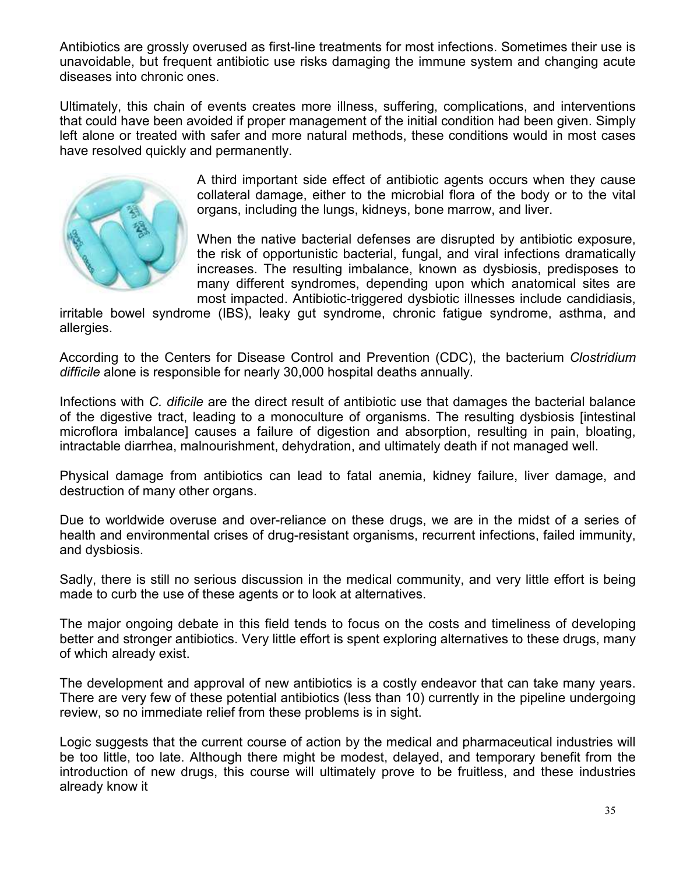Antibiotics are grossly overused as first-line treatments for most infections. Sometimes their use is unavoidable, but frequent antibiotic use risks damaging the immune system and changing acute diseases into chronic ones.

Ultimately, this chain of events creates more illness, suffering, complications, and interventions that could have been avoided if proper management of the initial condition had been given. Simply left alone or treated with safer and more natural methods, these conditions would in most cases have resolved quickly and permanently.



A third important side effect of antibiotic agents occurs when they cause collateral damage, either to the microbial flora of the body or to the vital organs, including the lungs, kidneys, bone marrow, and liver.

When the native bacterial defenses are disrupted by antibiotic exposure, the risk of opportunistic bacterial, fungal, and viral infections dramatically increases. The resulting imbalance, known as dysbiosis, predisposes to many different syndromes, depending upon which anatomical sites are most impacted. Antibiotic-triggered dysbiotic illnesses include candidiasis,

irritable bowel syndrome (IBS), leaky gut syndrome, chronic fatigue syndrome, asthma, and allergies.

According to the Centers for Disease Control and Prevention (CDC), the bacterium *Clostridium difficile* alone is responsible for nearly 30,000 hospital deaths annually.

Infections with *C. dificile* are the direct result of antibiotic use that damages the bacterial balance of the digestive tract, leading to a monoculture of organisms. The resulting dysbiosis [intestinal microflora imbalance] causes a failure of digestion and absorption, resulting in pain, bloating, intractable diarrhea, malnourishment, dehydration, and ultimately death if not managed well.

Physical damage from antibiotics can lead to fatal anemia, kidney failure, liver damage, and destruction of many other organs.

Due to worldwide overuse and over-reliance on these drugs, we are in the midst of a series of health and environmental crises of drug-resistant organisms, recurrent infections, failed immunity, and dysbiosis.

Sadly, there is still no serious discussion in the medical community, and very little effort is being made to curb the use of these agents or to look at alternatives.

The major ongoing debate in this field tends to focus on the costs and timeliness of developing better and stronger antibiotics. Very little effort is spent exploring alternatives to these drugs, many of which already exist.

The development and approval of new antibiotics is a costly endeavor that can take many years. There are very few of these potential antibiotics (less than 10) currently in the pipeline undergoing review, so no immediate relief from these problems is in sight.

Logic suggests that the current course of action by the medical and pharmaceutical industries will be too little, too late. Although there might be modest, delayed, and temporary benefit from the introduction of new drugs, this course will ultimately prove to be fruitless, and these industries already know it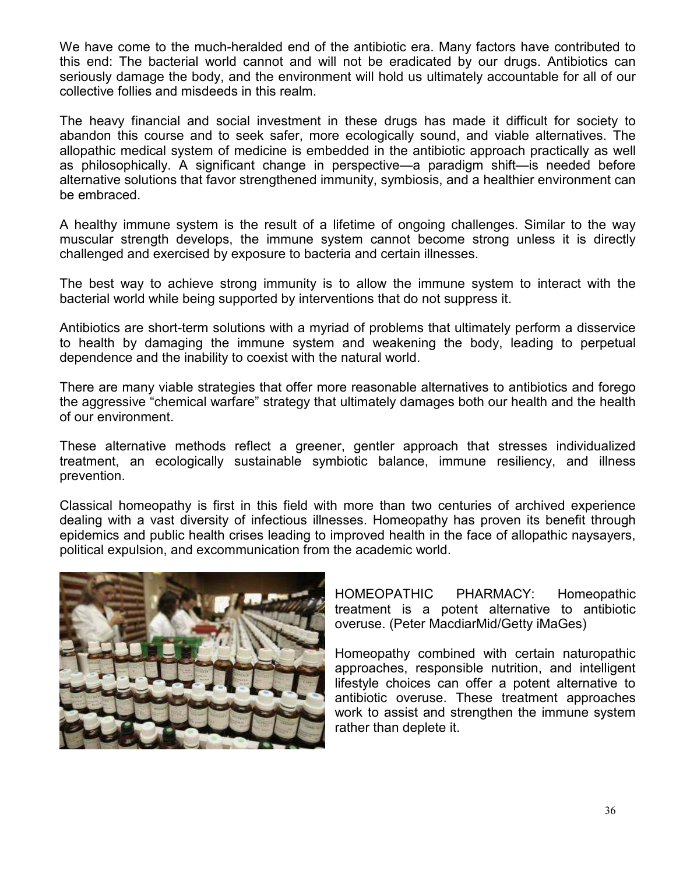We have come to the much-heralded end of the antibiotic era. Many factors have contributed to this end: The bacterial world cannot and will not be eradicated by our drugs. Antibiotics can seriously damage the body, and the environment will hold us ultimately accountable for all of our collective follies and misdeeds in this realm.

The heavy financial and social investment in these drugs has made it difficult for society to abandon this course and to seek safer, more ecologically sound, and viable alternatives. The allopathic medical system of medicine is embedded in the antibiotic approach practically as well as philosophically. A significant change in perspective—a paradigm shift—is needed before alternative solutions that favor strengthened immunity, symbiosis, and a healthier environment can be embraced.

A healthy immune system is the result of a lifetime of ongoing challenges. Similar to the way muscular strength develops, the immune system cannot become strong unless it is directly challenged and exercised by exposure to bacteria and certain illnesses.

The best way to achieve strong immunity is to allow the immune system to interact with the bacterial world while being supported by interventions that do not suppress it.

Antibiotics are short-term solutions with a myriad of problems that ultimately perform a disservice to health by damaging the immune system and weakening the body, leading to perpetual dependence and the inability to coexist with the natural world.

There are many viable strategies that offer more reasonable alternatives to antibiotics and forego the aggressive "chemical warfare" strategy that ultimately damages both our health and the health of our environment.

These alternative methods reflect a greener, gentler approach that stresses individualized treatment, an ecologically sustainable symbiotic balance, immune resiliency, and illness prevention.

Classical homeopathy is first in this field with more than two centuries of archived experience dealing with a vast diversity of infectious illnesses. Homeopathy has proven its benefit through epidemics and public health crises leading to improved health in the face of allopathic naysayers, political expulsion, and excommunication from the academic world.



HOMEOPATHIC PHARMACY: Homeopathic treatment is a potent alternative to antibiotic overuse. (Peter MacdiarMid/Getty iMaGes)

Homeopathy combined with certain naturopathic approaches, responsible nutrition, and intelligent lifestyle choices can offer a potent alternative to antibiotic overuse. These treatment approaches work to assist and strengthen the immune system rather than deplete it.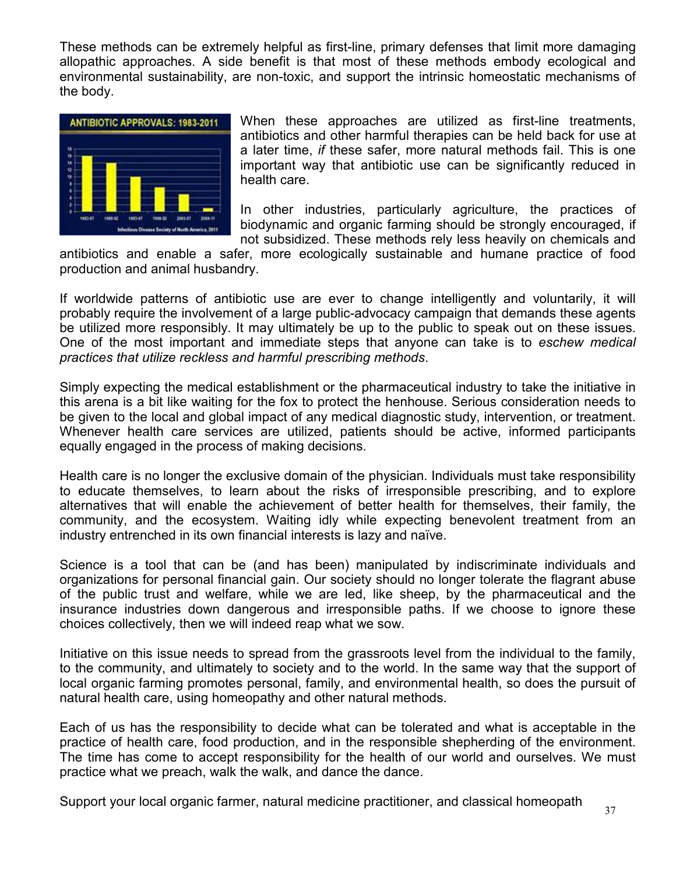These methods can be extremely helpful as first-line, primary defenses that limit more damaging allopathic approaches. A side benefit is that most of these methods embody ecological and environmental sustainability, are non-toxic, and support the intrinsic homeostatic mechanisms of the body.



When these approaches are utilized as first-line treatments, antibiotics and other harmful therapies can be held back for use at a later time, *if* these safer, more natural methods fail. This is one important way that antibiotic use can be significantly reduced in health care.

In other industries, particularly agriculture, the practices of biodynamic and organic farming should be strongly encouraged, if not subsidized. These methods rely less heavily on chemicals and

antibiotics and enable a safer, more ecologically sustainable and humane practice of food production and animal husbandry.

If worldwide patterns of antibiotic use are ever to change intelligently and voluntarily, it will probably require the involvement of a large public-advocacy campaign that demands these agents be utilized more responsibly. It may ultimately be up to the public to speak out on these issues. One of the most important and immediate steps that anyone can take is to *eschew medical practices that utilize reckless and harmful prescribing methods*.

Simply expecting the medical establishment or the pharmaceutical industry to take the initiative in this arena is a bit like waiting for the fox to protect the henhouse. Serious consideration needs to be given to the local and global impact of any medical diagnostic study, intervention, or treatment. Whenever health care services are utilized, patients should be active, informed participants equally engaged in the process of making decisions.

Health care is no longer the exclusive domain of the physician. Individuals must take responsibility to educate themselves, to learn about the risks of irresponsible prescribing, and to explore alternatives that will enable the achievement of better health for themselves, their family, the community, and the ecosystem. Waiting idly while expecting benevolent treatment from an industry entrenched in its own financial interests is lazy and naïve.

Science is a tool that can be (and has been) manipulated by indiscriminate individuals and organizations for personal financial gain. Our society should no longer tolerate the flagrant abuse of the public trust and welfare, while we are led, like sheep, by the pharmaceutical and the insurance industries down dangerous and irresponsible paths. If we choose to ignore these choices collectively, then we will indeed reap what we sow.

Initiative on this issue needs to spread from the grassroots level from the individual to the family, to the community, and ultimately to society and to the world. In the same way that the support of local organic farming promotes personal, family, and environmental health, so does the pursuit of natural health care, using homeopathy and other natural methods.

Each of us has the responsibility to decide what can be tolerated and what is acceptable in the practice of health care, food production, and in the responsible shepherding of the environment. The time has come to accept responsibility for the health of our world and ourselves. We must practice what we preach, walk the walk, and dance the dance.

Support your local organic farmer, natural medicine practitioner, and classical homeopath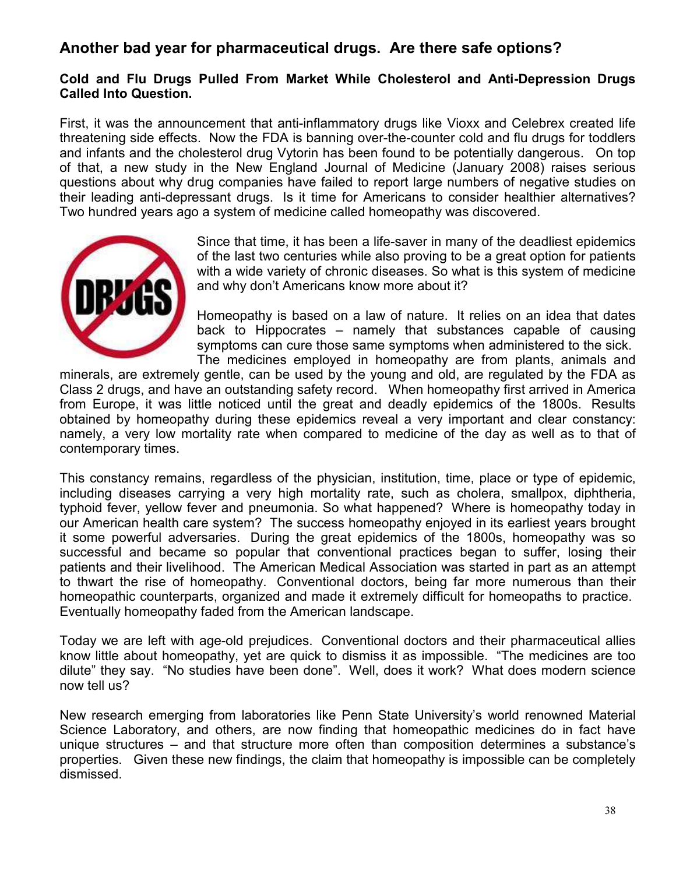# **Another bad year for pharmaceutical drugs. Are there safe options?**

#### **Cold and Flu Drugs Pulled From Market While Cholesterol and Anti-Depression Drugs Called Into Question.**

First, it was the announcement that anti-inflammatory drugs like Vioxx and Celebrex created life threatening side effects. Now the FDA is banning over-the-counter cold and flu drugs for toddlers and infants and the cholesterol drug Vytorin has been found to be potentially dangerous. On top of that, a new study in the New England Journal of Medicine (January 2008) raises serious questions about why drug companies have failed to report large numbers of negative studies on their leading anti-depressant drugs. Is it time for Americans to consider healthier alternatives? Two hundred years ago a system of medicine called homeopathy was discovered.



Since that time, it has been a life-saver in many of the deadliest epidemics of the last two centuries while also proving to be a great option for patients with a wide variety of chronic diseases. So what is this system of medicine and why don't Americans know more about it?

Homeopathy is based on a law of nature. It relies on an idea that dates back to Hippocrates – namely that substances capable of causing symptoms can cure those same symptoms when administered to the sick. The medicines employed in homeopathy are from plants, animals and

minerals, are extremely gentle, can be used by the young and old, are regulated by the FDA as Class 2 drugs, and have an outstanding safety record. When homeopathy first arrived in America from Europe, it was little noticed until the great and deadly epidemics of the 1800s. Results obtained by homeopathy during these epidemics reveal a very important and clear constancy: namely, a very low mortality rate when compared to medicine of the day as well as to that of contemporary times.

This constancy remains, regardless of the physician, institution, time, place or type of epidemic, including diseases carrying a very high mortality rate, such as cholera, smallpox, diphtheria, typhoid fever, yellow fever and pneumonia. So what happened? Where is homeopathy today in our American health care system? The success homeopathy enjoyed in its earliest years brought it some powerful adversaries. During the great epidemics of the 1800s, homeopathy was so successful and became so popular that conventional practices began to suffer, losing their patients and their livelihood. The American Medical Association was started in part as an attempt to thwart the rise of homeopathy. Conventional doctors, being far more numerous than their homeopathic counterparts, organized and made it extremely difficult for homeopaths to practice. Eventually homeopathy faded from the American landscape.

Today we are left with age-old prejudices. Conventional doctors and their pharmaceutical allies know little about homeopathy, yet are quick to dismiss it as impossible. "The medicines are too dilute" they say. "No studies have been done". Well, does it work? What does modern science now tell us?

New research emerging from laboratories like Penn State University's world renowned Material Science Laboratory, and others, are now finding that homeopathic medicines do in fact have unique structures – and that structure more often than composition determines a substance's properties. Given these new findings, the claim that homeopathy is impossible can be completely dismissed.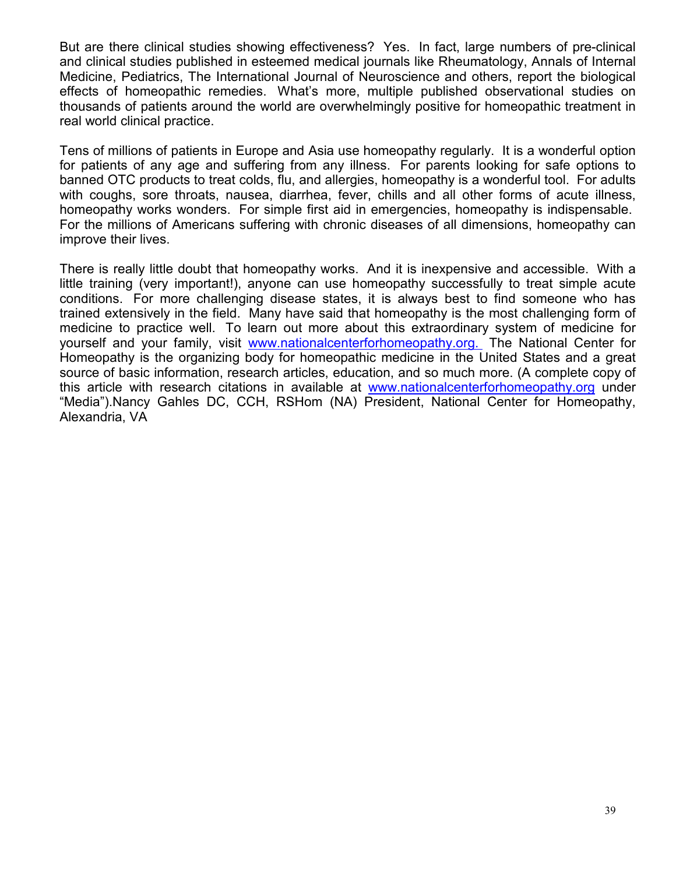But are there clinical studies showing effectiveness? Yes. In fact, large numbers of pre-clinical and clinical studies published in esteemed medical journals like Rheumatology, Annals of Internal Medicine, Pediatrics, The International Journal of Neuroscience and others, report the biological effects of homeopathic remedies. What's more, multiple published observational studies on thousands of patients around the world are overwhelmingly positive for homeopathic treatment in real world clinical practice.

Tens of millions of patients in Europe and Asia use homeopathy regularly. It is a wonderful option for patients of any age and suffering from any illness. For parents looking for safe options to banned OTC products to treat colds, flu, and allergies, homeopathy is a wonderful tool. For adults with coughs, sore throats, nausea, diarrhea, fever, chills and all other forms of acute illness, homeopathy works wonders. For simple first aid in emergencies, homeopathy is indispensable. For the millions of Americans suffering with chronic diseases of all dimensions, homeopathy can improve their lives.

There is really little doubt that homeopathy works. And it is inexpensive and accessible. With a little training (very important!), anyone can use homeopathy successfully to treat simple acute conditions. For more challenging disease states, it is always best to find someone who has trained extensively in the field. Many have said that homeopathy is the most challenging form of medicine to practice well. To learn out more about this extraordinary system of medicine for yourself and your family, visit www.nationalcenterforhomeopathy.org. The National Center for Homeopathy is the organizing body for homeopathic medicine in the United States and a great source of basic information, research articles, education, and so much more. (A complete copy of this article with research citations in available at www.nationalcenterforhomeopathy.org under "Media").Nancy Gahles DC, CCH, RSHom (NA) President, National Center for Homeopathy, Alexandria, VA